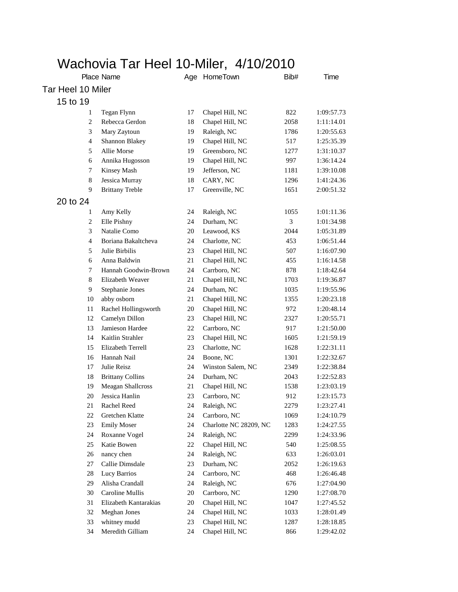## Wachovia Tar Heel 10-Miler, 4/10/2010

|                   | Place Name              |    | Age HomeTown           | Bib# | Time       |
|-------------------|-------------------------|----|------------------------|------|------------|
| Tar Heel 10 Miler |                         |    |                        |      |            |
| 15 to 19          |                         |    |                        |      |            |
| 1                 | Tegan Flynn             | 17 | Chapel Hill, NC        | 822  | 1:09:57.73 |
| $\overline{c}$    | Rebecca Gerdon          | 18 | Chapel Hill, NC        | 2058 | 1:11:14.01 |
| 3                 | Mary Zaytoun            | 19 | Raleigh, NC            | 1786 | 1:20:55.63 |
| $\overline{4}$    | Shannon Blakey          | 19 | Chapel Hill, NC        | 517  | 1:25:35.39 |
| 5                 | Allie Morse             | 19 | Greensboro, NC         | 1277 | 1:31:10.37 |
| 6                 | Annika Hugosson         | 19 | Chapel Hill, NC        | 997  | 1:36:14.24 |
| 7                 | Kinsey Mash             | 19 | Jefferson, NC          | 1181 | 1:39:10.08 |
| $\,8\,$           | Jessica Murray          | 18 | CARY, NC               | 1296 | 1:41:24.36 |
| 9                 | <b>Brittany Treble</b>  | 17 | Greenville, NC         | 1651 | 2:00:51.32 |
| 20 to 24          |                         |    |                        |      |            |
| 1                 | Amy Kelly               | 24 | Raleigh, NC            | 1055 | 1:01:11.36 |
| $\overline{c}$    | Elle Pishny             | 24 | Durham, NC             | 3    | 1:01:34.98 |
| 3                 | Natalie Como            | 20 | Leawood, KS            | 2044 | 1:05:31.89 |
| 4                 | Boriana Bakaltcheva     | 24 | Charlotte, NC          | 453  | 1:06:51.44 |
| 5                 | Julie Birbilis          | 23 | Chapel Hill, NC        | 507  | 1:16:07.90 |
| 6                 | Anna Baldwin            | 21 | Chapel Hill, NC        | 455  | 1:16:14.58 |
| 7                 | Hannah Goodwin-Brown    | 24 | Carrboro, NC           | 878  | 1:18:42.64 |
| 8                 | Elizabeth Weaver        | 21 | Chapel Hill, NC        | 1703 | 1:19:36.87 |
| 9                 | Stephanie Jones         | 24 | Durham, NC             | 1035 | 1:19:55.96 |
| 10                | abby osborn             | 21 | Chapel Hill, NC        | 1355 | 1:20:23.18 |
| 11                | Rachel Hollingsworth    | 20 | Chapel Hill, NC        | 972  | 1:20:48.14 |
| 12                | Camelyn Dillon          | 23 | Chapel Hill, NC        | 2327 | 1:20:55.71 |
| 13                | Jamieson Hardee         | 22 | Carrboro, NC           | 917  | 1:21:50.00 |
| 14                | Kaitlin Strahler        | 23 | Chapel Hill, NC        | 1605 | 1:21:59.19 |
| 15                | Elizabeth Terrell       | 23 | Charlotte, NC          | 1628 | 1:22:31.11 |
| 16                | Hannah Nail             | 24 | Boone, NC              | 1301 | 1:22:32.67 |
| 17                | Julie Reisz             | 24 | Winston Salem, NC      | 2349 | 1:22:38.84 |
| 18                | <b>Brittany Collins</b> | 24 | Durham, NC             | 2043 | 1:22:52.83 |
| 19                | Meagan Shallcross       | 21 | Chapel Hill, NC        | 1538 | 1:23:03.19 |
| 20                | Jessica Hanlin          | 23 | Carrboro, NC           | 912  | 1:23:15.73 |
| 21                | Rachel Reed             | 24 | Raleigh, NC            | 2279 | 1:23:27.41 |
| 22                | Gretchen Klatte         | 24 | Carrboro, NC           | 1069 | 1:24:10.79 |
| 23                | <b>Emily Moser</b>      | 24 | Charlotte NC 28209, NC | 1283 | 1:24:27.55 |
| 24                | Roxanne Vogel           | 24 | Raleigh, NC            | 2299 | 1:24:33.96 |
| 25                | Katie Bowen             | 22 | Chapel Hill, NC        | 540  | 1:25:08.55 |
| $26\,$            | nancy chen              | 24 | Raleigh, NC            | 633  | 1:26:03.01 |
| 27                | Callie Dimsdale         | 23 | Durham, NC             | 2052 | 1:26:19.63 |
| 28                | <b>Lucy Barrios</b>     | 24 | Carrboro, NC           | 468  | 1:26:46.48 |
| 29                | Alisha Crandall         | 24 | Raleigh, NC            | 676  | 1:27:04.90 |
| 30                | Caroline Mullis         | 20 | Carrboro, NC           | 1290 | 1:27:08.70 |
| 31                | Elizabeth Kantarakias   | 20 | Chapel Hill, NC        | 1047 | 1:27:45.52 |
| 32                | <b>Meghan Jones</b>     | 24 | Chapel Hill, NC        | 1033 | 1:28:01.49 |
| 33                | whitney mudd            | 23 | Chapel Hill, NC        | 1287 | 1:28:18.85 |
| 34                | Meredith Gilliam        | 24 | Chapel Hill, NC        | 866  | 1:29:42.02 |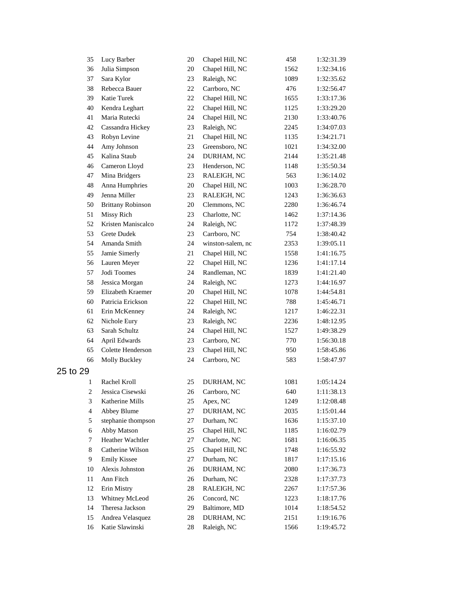| 35                      | Lucy Barber              | 20 | Chapel Hill, NC   | 458  | 1:32:31.39 |
|-------------------------|--------------------------|----|-------------------|------|------------|
| 36                      | Julia Simpson            | 20 | Chapel Hill, NC   | 1562 | 1:32:34.16 |
| 37                      | Sara Kylor               | 23 | Raleigh, NC       | 1089 | 1:32:35.62 |
| 38                      | Rebecca Bauer            | 22 | Carrboro, NC      | 476  | 1:32:56.47 |
| 39                      | <b>Katie Turek</b>       | 22 | Chapel Hill, NC   | 1655 | 1:33:17.36 |
| 40                      | Kendra Leghart           | 22 | Chapel Hill, NC   | 1125 | 1:33:29.20 |
| 41                      | Maria Rutecki            | 24 | Chapel Hill, NC   | 2130 | 1:33:40.76 |
| 42                      | Cassandra Hickey         | 23 | Raleigh, NC       | 2245 | 1:34:07.03 |
| 43                      | Robyn Levine             | 21 | Chapel Hill, NC   | 1135 | 1:34:21.71 |
| 44                      | Amy Johnson              | 23 | Greensboro, NC    | 1021 | 1:34:32.00 |
| 45                      | Kalina Staub             | 24 | DURHAM, NC        | 2144 | 1:35:21.48 |
| 46                      | Cameron Lloyd            | 23 | Henderson, NC     | 1148 | 1:35:50.34 |
| 47                      | Mina Bridgers            | 23 | RALEIGH, NC       | 563  | 1:36:14.02 |
| 48                      | Anna Humphries           | 20 | Chapel Hill, NC   | 1003 | 1:36:28.70 |
| 49                      | Jenna Miller             | 23 | RALEIGH, NC       | 1243 | 1:36:36.63 |
| 50                      | <b>Brittany Robinson</b> | 20 | Clemmons, NC      | 2280 | 1:36:46.74 |
| 51                      | Missy Rich               | 23 | Charlotte, NC     | 1462 | 1:37:14.36 |
| 52                      | Kristen Maniscalco       | 24 | Raleigh, NC       | 1172 | 1:37:48.39 |
| 53                      | <b>Grete Dudek</b>       | 23 | Carrboro, NC      | 754  | 1:38:40.42 |
| 54                      | Amanda Smith             | 24 | winston-salem, nc | 2353 | 1:39:05.11 |
| 55                      | Jamie Simerly            | 21 | Chapel Hill, NC   | 1558 | 1:41:16.75 |
| 56                      | Lauren Meyer             | 22 | Chapel Hill, NC   | 1236 | 1:41:17.14 |
| 57                      | Jodi Toomes              | 24 | Randleman, NC     | 1839 | 1:41:21.40 |
| 58                      | Jessica Morgan           | 24 | Raleigh, NC       | 1273 | 1:44:16.97 |
| 59                      | Elizabeth Kraemer        | 20 | Chapel Hill, NC   | 1078 | 1:44:54.81 |
| 60                      | Patricia Erickson        | 22 | Chapel Hill, NC   | 788  | 1:45:46.71 |
| 61                      | Erin McKenney            | 24 | Raleigh, NC       | 1217 | 1:46:22.31 |
| 62                      | Nichole Eury             | 23 | Raleigh, NC       | 2236 | 1:48:12.95 |
| 63                      | Sarah Schultz            | 24 | Chapel Hill, NC   | 1527 | 1:49:38.29 |
| 64                      | April Edwards            | 23 | Carrboro, NC      | 770  | 1:56:30.18 |
| 65                      | Colette Henderson        | 23 | Chapel Hill, NC   | 950  | 1:58:45.86 |
| 66                      | Molly Buckley            | 24 | Carrboro, NC      | 583  | 1:58:47.97 |
| 25 to 29                |                          |    |                   |      |            |
| 1                       | Rachel Kroll             | 25 | DURHAM, NC        | 1081 | 1:05:14.24 |
| 2                       | Jessica Cisewski         |    | 26 Carrboro, NC   | 640  | 1:11:38.13 |
| 3                       | Katherine Mills          | 25 | Apex, NC          | 1249 | 1:12:08.48 |
| $\overline{\mathbf{4}}$ | Abbey Blume              | 27 | DURHAM, NC        | 2035 | 1:15:01.44 |
| 5                       | stephanie thompson       | 27 | Durham, NC        | 1636 | 1:15:37.10 |
| 6                       | Abby Matson              | 25 | Chapel Hill, NC   | 1185 | 1:16:02.79 |
| 7                       | Heather Wachtler         | 27 | Charlotte, NC     | 1681 | 1:16:06.35 |
| 8                       | Catherine Wilson         | 25 | Chapel Hill, NC   | 1748 | 1:16:55.92 |
| 9                       | <b>Emily Kissee</b>      | 27 | Durham, NC        | 1817 | 1:17:15.16 |
| 10                      | Alexis Johnston          | 26 | DURHAM, NC        | 2080 | 1:17:36.73 |
| 11                      | Ann Fitch                | 26 | Durham, NC        | 2328 | 1:17:37.73 |
| 12                      | Erin Mistry              | 28 | RALEIGH, NC       | 2267 | 1:17:57.36 |
| 13                      | Whitney McLeod           | 26 | Concord, NC       | 1223 | 1:18:17.76 |
| 14                      | Theresa Jackson          | 29 | Baltimore, MD     | 1014 | 1:18:54.52 |
| 15                      | Andrea Velasquez         | 28 | DURHAM, NC        | 2151 | 1:19:16.76 |
| 16                      | Katie Slawinski          | 28 | Raleigh, NC       | 1566 | 1:19:45.72 |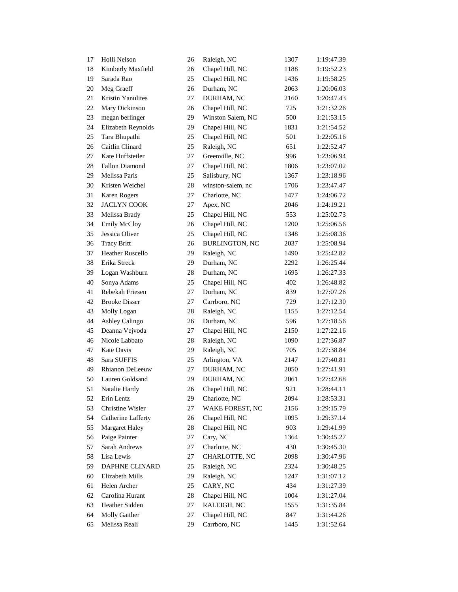| 17     | Holli Nelson          | 26     | Raleigh, NC           | 1307 | 1:19:47.39 |
|--------|-----------------------|--------|-----------------------|------|------------|
| 18     | Kimberly Maxfield     | 26     | Chapel Hill, NC       | 1188 | 1:19:52.23 |
| 19     | Sarada Rao            | 25     | Chapel Hill, NC       | 1436 | 1:19:58.25 |
| 20     | Meg Graeff            | 26     | Durham, NC            | 2063 | 1:20:06.03 |
| 21     | Kristin Yanulites     | 27     | DURHAM, NC            | 2160 | 1:20:47.43 |
| 22     | Mary Dickinson        | 26     | Chapel Hill, NC       | 725  | 1:21:32.26 |
| 23     | megan berlinger       | 29     | Winston Salem, NC     | 500  | 1:21:53.15 |
| 24     | Elizabeth Reynolds    | 29     | Chapel Hill, NC       | 1831 | 1:21:54.52 |
| 25     | Tara Bhupathi         | 25     | Chapel Hill, NC       | 501  | 1:22:05.16 |
| 26     | Caitlin Clinard       | 25     | Raleigh, NC           | 651  | 1:22:52.47 |
| 27     | Kate Huffstetler      | 27     | Greenville, NC        | 996  | 1:23:06.94 |
| $28\,$ | Fallon Diamond        | 27     | Chapel Hill, NC       | 1806 | 1:23:07.02 |
| 29     | Melissa Paris         | 25     | Salisbury, NC         | 1367 | 1:23:18.96 |
| 30     | Kristen Weichel       | 28     | winston-salem, nc     | 1706 | 1:23:47.47 |
| 31     | Karen Rogers          | 27     | Charlotte, NC         | 1477 | 1:24:06.72 |
| 32     | <b>JACLYN COOK</b>    | 27     | Apex, NC              | 2046 | 1:24:19.21 |
| 33     | Melissa Brady         | 25     | Chapel Hill, NC       | 553  | 1:25:02.73 |
| 34     | Emily McCloy          | 26     | Chapel Hill, NC       | 1200 | 1:25:06.56 |
| 35     | Jessica Oliver        | 25     | Chapel Hill, NC       | 1348 | 1:25:08.36 |
| 36     | <b>Tracy Britt</b>    | 26     | <b>BURLINGTON, NC</b> | 2037 | 1:25:08.94 |
| 37     | Heather Ruscello      | 29     | Raleigh, NC           | 1490 | 1:25:42.82 |
| 38     | Erika Streck          | 29     | Durham, NC            | 2292 | 1:26:25.44 |
| 39     | Logan Washburn        | 28     | Durham, NC            | 1695 | 1:26:27.33 |
| 40     | Sonya Adams           | 25     | Chapel Hill, NC       | 402  | 1:26:48.82 |
| 41     | Rebekah Friesen       | 27     | Durham, NC            | 839  | 1:27:07.26 |
| 42     | <b>Brooke Disser</b>  | 27     | Carrboro, NC          | 729  | 1:27:12.30 |
| 43     | Molly Logan           | 28     | Raleigh, NC           | 1155 | 1:27:12.54 |
| 44     | Ashley Calingo        | 26     | Durham, NC            | 596  | 1:27:18.56 |
| 45     | Deanna Vejvoda        | 27     | Chapel Hill, NC       | 2150 | 1:27:22.16 |
| 46     | Nicole Labbato        | 28     | Raleigh, NC           | 1090 | 1:27:36.87 |
| 47     | <b>Kate Davis</b>     | 29     | Raleigh, NC           | 705  | 1:27:38.84 |
| 48     | Sara SUFFIS           | 25     | Arlington, VA         | 2147 | 1:27:40.81 |
| 49     | Rhianon DeLeeuw       | 27     | DURHAM, NC            | 2050 | 1:27:41.91 |
| 50     | Lauren Goldsand       | 29     | DURHAM, NC            | 2061 | 1:27:42.68 |
| 51     | Natalie Hardy         | 26     | Chapel Hill, NC       | 921  | 1:28:44.11 |
| 52     | Erin Lentz            | 29     | Charlotte, NC         | 2094 | 1:28:53.31 |
| 53     | Christine Wisler      | 27     | WAKE FOREST, NC       | 2156 | 1:29:15.79 |
| 54     | Catherine Lafferty    | 26     | Chapel Hill, NC       | 1095 | 1:29:37.14 |
| 55     | <b>Margaret Haley</b> | 28     | Chapel Hill, NC       | 903  | 1:29:41.99 |
| 56     | Paige Painter         | 27     | Cary, NC              | 1364 | 1:30:45.27 |
| 57     | Sarah Andrews         | 27     | Charlotte, NC         | 430  | 1:30:45.30 |
| 58     | Lisa Lewis            | 27     | CHARLOTTE, NC         | 2098 | 1:30:47.96 |
| 59     | DAPHNE CLINARD        | 25     | Raleigh, NC           | 2324 | 1:30:48.25 |
| 60     | Elizabeth Mills       | 29     | Raleigh, NC           | 1247 | 1:31:07.12 |
| 61     | Helen Archer          | 25     | CARY, NC              | 434  | 1:31:27.39 |
| 62     | Carolina Hurant       | $28\,$ | Chapel Hill, NC       | 1004 | 1:31:27.04 |
| 63     | Heather Sidden        | 27     | RALEIGH, NC           | 1555 | 1:31:35.84 |
| 64     | Molly Gaither         | 27     | Chapel Hill, NC       | 847  | 1:31:44.26 |
| 65     | Melissa Reali         | 29     | Carrboro, NC          | 1445 | 1:31:52.64 |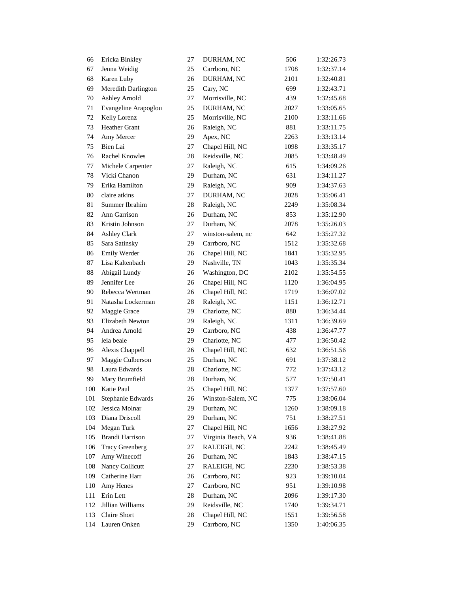| 66     | Ericka Binkley         | 27 | DURHAM, NC         | 506  | 1:32:26.73 |
|--------|------------------------|----|--------------------|------|------------|
| 67     | Jenna Weidig           | 25 | Carrboro, NC       | 1708 | 1:32:37.14 |
| 68     | Karen Luby             | 26 | DURHAM, NC         | 2101 | 1:32:40.81 |
| 69     | Meredith Darlington    | 25 | Cary, NC           | 699  | 1:32:43.71 |
| 70     | <b>Ashley Arnold</b>   | 27 | Morrisville, NC    | 439  | 1:32:45.68 |
| 71     | Evangeline Arapoglou   | 25 | DURHAM, NC         | 2027 | 1:33:05.65 |
| 72     | Kelly Lorenz           | 25 | Morrisville, NC    | 2100 | 1:33:11.66 |
| 73     | Heather Grant          | 26 | Raleigh, NC        | 881  | 1:33:11.75 |
| 74     | Amy Mercer             | 29 | Apex, NC           | 2263 | 1:33:13.14 |
| 75     | Bien Lai               | 27 | Chapel Hill, NC    | 1098 | 1:33:35.17 |
| 76     | Rachel Knowles         | 28 | Reidsville, NC     | 2085 | 1:33:48.49 |
| 77     | Michele Carpenter      | 27 | Raleigh, NC        | 615  | 1:34:09.26 |
| $78\,$ | Vicki Chanon           | 29 | Durham, NC         | 631  | 1:34:11.27 |
| 79     | Erika Hamilton         | 29 | Raleigh, NC        | 909  | 1:34:37.63 |
| 80     | claire atkins          | 27 | DURHAM, NC         | 2028 | 1:35:06.41 |
| 81     | Summer Ibrahim         | 28 | Raleigh, NC        | 2249 | 1:35:08.34 |
| 82     | Ann Garrison           | 26 | Durham, NC         | 853  | 1:35:12.90 |
| 83     | Kristin Johnson        | 27 | Durham, NC         | 2078 | 1:35:26.03 |
| 84     | <b>Ashley Clark</b>    | 27 | winston-salem, nc  | 642  | 1:35:27.32 |
| 85     | Sara Satinsky          | 29 | Carrboro, NC       | 1512 | 1:35:32.68 |
| 86     | Emily Werder           | 26 | Chapel Hill, NC    | 1841 | 1:35:32.95 |
| 87     | Lisa Kaltenbach        | 29 | Nashville, TN      | 1043 | 1:35:35.34 |
| 88     | Abigail Lundy          | 26 | Washington, DC     | 2102 | 1:35:54.55 |
| 89     | Jennifer Lee           | 26 | Chapel Hill, NC    | 1120 | 1:36:04.95 |
| 90     | Rebecca Wertman        | 26 | Chapel Hill, NC    | 1719 | 1:36:07.02 |
| 91     | Natasha Lockerman      | 28 | Raleigh, NC        | 1151 | 1:36:12.71 |
| 92     | Maggie Grace           | 29 | Charlotte, NC      | 880  | 1:36:34.44 |
| 93     | Elizabeth Newton       | 29 | Raleigh, NC        | 1311 | 1:36:39.69 |
| 94     | Andrea Arnold          | 29 | Carrboro, NC       | 438  | 1:36:47.77 |
| 95     | leia beale             | 29 | Charlotte, NC      | 477  | 1:36:50.42 |
| 96     | Alexis Chappell        | 26 | Chapel Hill, NC    | 632  | 1:36:51.56 |
| 97     | Maggie Culberson       | 25 | Durham, NC         | 691  | 1:37:38.12 |
| 98     | Laura Edwards          | 28 | Charlotte, NC      | 772  | 1:37:43.12 |
| 99     | Mary Brumfield         | 28 | Durham, NC         | 577  | 1:37:50.41 |
| 100    | Katie Paul             | 25 | Chapel Hill, NC    | 1377 | 1:37:57.60 |
| 101    | Stephanie Edwards      | 26 | Winston-Salem, NC  | 775  | 1:38:06.04 |
| 102    | Jessica Molnar         | 29 | Durham, NC         | 1260 | 1:38:09.18 |
| 103    | Diana Driscoll         | 29 | Durham, NC         | 751  | 1:38:27.51 |
| 104    | Megan Turk             | 27 | Chapel Hill, NC    | 1656 | 1:38:27.92 |
| 105    | Brandi Harrison        | 27 | Virginia Beach, VA | 936  | 1:38:41.88 |
| 106    | <b>Tracy Greenberg</b> | 27 | RALEIGH, NC        | 2242 | 1:38:45.49 |
| 107    | Amy Winecoff           | 26 | Durham, NC         | 1843 | 1:38:47.15 |
| 108    | Nancy Collicutt        | 27 | RALEIGH, NC        | 2230 | 1:38:53.38 |
| 109    | Catherine Harr         | 26 | Carrboro, NC       | 923  | 1:39:10.04 |
| 110    | Amy Henes              | 27 | Carrboro, NC       | 951  | 1:39:10.98 |
| 111    | Erin Lett              | 28 | Durham, NC         | 2096 | 1:39:17.30 |
| 112    | Jillian Williams       | 29 | Reidsville, NC     | 1740 | 1:39:34.71 |
| 113    | Claire Short           | 28 | Chapel Hill, NC    | 1551 | 1:39:56.58 |
| 114    | Lauren Onken           | 29 | Carrboro, NC       | 1350 | 1:40:06.35 |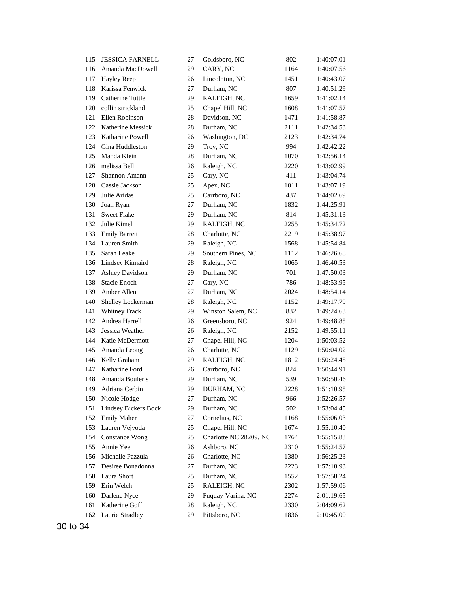| 115 | <b>JESSICA FARNELL</b> | 27 | Goldsboro, NC          | 802  | 1:40:07.01 |
|-----|------------------------|----|------------------------|------|------------|
| 116 | Amanda MacDowell       | 29 | CARY, NC               | 1164 | 1:40:07.56 |
| 117 | Hayley Reep            | 26 | Lincolnton, NC         | 1451 | 1:40:43.07 |
| 118 | Karissa Fenwick        | 27 | Durham, NC             | 807  | 1:40:51.29 |
| 119 | Catherine Tuttle       | 29 | RALEIGH, NC            | 1659 | 1:41:02.14 |
| 120 | collin strickland      | 25 | Chapel Hill, NC        | 1608 | 1:41:07.57 |
| 121 | Ellen Robinson         | 28 | Davidson, NC           | 1471 | 1:41:58.87 |
| 122 | Katherine Messick      | 28 | Durham, NC             | 2111 | 1:42:34.53 |
| 123 | Katharine Powell       | 26 | Washington, DC         | 2123 | 1:42:34.74 |
| 124 | Gina Huddleston        | 29 | Troy, NC               | 994  | 1:42:42.22 |
| 125 | Manda Klein            | 28 | Durham, NC             | 1070 | 1:42:56.14 |
| 126 | melissa Bell           | 26 | Raleigh, NC            | 2220 | 1:43:02.99 |
| 127 | Shannon Amann          | 25 | Cary, NC               | 411  | 1:43:04.74 |
| 128 | Cassie Jackson         | 25 | Apex, NC               | 1011 | 1:43:07.19 |
| 129 | Julie Aridas           | 25 | Carrboro, NC           | 437  | 1:44:02.69 |
| 130 | Joan Ryan              | 27 | Durham, NC             | 1832 | 1:44:25.91 |
| 131 | <b>Sweet Flake</b>     | 29 | Durham, NC             | 814  | 1:45:31.13 |
| 132 | Julie Kimel            | 29 | RALEIGH, NC            | 2255 | 1:45:34.72 |
| 133 | <b>Emily Barrett</b>   | 28 | Charlotte, NC          | 2219 | 1:45:38.97 |
| 134 | Lauren Smith           | 29 | Raleigh, NC            | 1568 | 1:45:54.84 |
| 135 | Sarah Leake            | 29 | Southern Pines, NC     | 1112 | 1:46:26.68 |
| 136 | Lindsey Kinnaird       | 28 | Raleigh, NC            | 1065 | 1:46:40.53 |
| 137 | <b>Ashley Davidson</b> | 29 | Durham, NC             | 701  | 1:47:50.03 |
| 138 | Stacie Enoch           | 27 | Cary, NC               | 786  | 1:48:53.95 |
| 139 | Amber Allen            | 27 | Durham, NC             | 2024 | 1:48:54.14 |
| 140 | Shelley Lockerman      | 28 | Raleigh, NC            | 1152 | 1:49:17.79 |
| 141 | Whitney Frack          | 29 | Winston Salem, NC      | 832  | 1:49:24.63 |
| 142 | Andrea Harrell         | 26 | Greensboro, NC         | 924  | 1:49:48.85 |
| 143 | Jessica Weather        | 26 | Raleigh, NC            | 2152 | 1:49:55.11 |
| 144 | Katie McDermott        | 27 | Chapel Hill, NC        | 1204 | 1:50:03.52 |
| 145 | Amanda Leong           | 26 | Charlotte, NC          | 1129 | 1:50:04.02 |
| 146 | Kelly Graham           | 29 | RALEIGH, NC            | 1812 | 1:50:24.45 |
| 147 | Katharine Ford         | 26 | Carrboro, NC           | 824  | 1:50:44.91 |
| 148 | Amanda Bouleris        | 29 | Durham, NC             | 539  | 1:50:50.46 |
| 149 | Adriana Cerbin         | 29 | DURHAM, NC             | 2228 | 1:51:10.95 |
| 150 | Nicole Hodge           | 27 | Durham, NC             | 966  | 1:52:26.57 |
| 151 | Lindsey Bickers Bock   | 29 | Durham, NC             | 502  | 1:53:04.45 |
| 152 | <b>Emily Maher</b>     | 27 | Cornelius, NC          | 1168 | 1:55:06.03 |
| 153 | Lauren Vejvoda         | 25 | Chapel Hill, NC        | 1674 | 1:55:10.40 |
| 154 | <b>Constance Wong</b>  | 25 | Charlotte NC 28209, NC | 1764 | 1:55:15.83 |
| 155 | Annie Yee              | 26 | Ashboro, NC            | 2310 | 1:55:24.57 |
| 156 | Michelle Pazzula       | 26 | Charlotte, NC          | 1380 | 1:56:25.23 |
| 157 | Desiree Bonadonna      | 27 | Durham, NC             | 2223 | 1:57:18.93 |
| 158 | Laura Short            | 25 | Durham, NC             | 1552 | 1:57:58.24 |
| 159 | Erin Welch             | 25 | RALEIGH, NC            | 2302 | 1:57:59.06 |
| 160 | Darlene Nyce           | 29 | Fuquay-Varina, NC      | 2274 | 2:01:19.65 |
| 161 | Katherine Goff         | 28 | Raleigh, NC            | 2330 | 2:04:09.62 |
| 162 | Laurie Stradley        | 29 | Pittsboro, NC          | 1836 | 2:10:45.00 |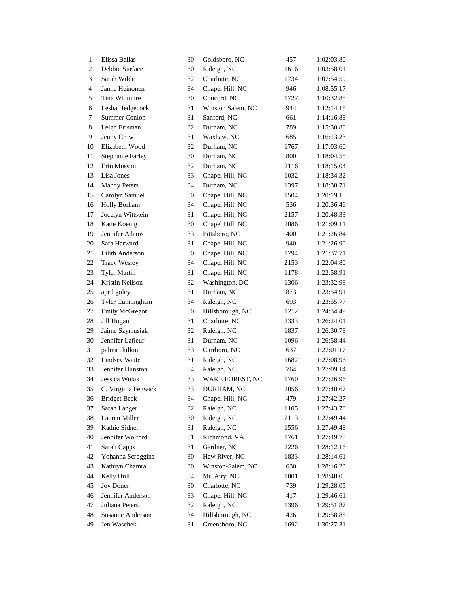| $\mathbf{1}$   | Elissa Ballas           | 30 | Goldsboro, NC     | 457  | 1:02:03.80 |
|----------------|-------------------------|----|-------------------|------|------------|
| 2              | Debbie Surface          | 30 | Raleigh, NC       | 1616 | 1:03:58.01 |
| 3              | Sarah Wilde             | 32 | Charlotte, NC     | 1734 | 1:07:54.59 |
| $\overline{4}$ | Janne Heinonen          | 34 | Chapel Hill, NC   | 946  | 1:08:55.17 |
| 5              | Tina Whitmire           | 30 | Concord, NC       | 1727 | 1:10:32.85 |
| 6              | Lesha Hedgecock         | 31 | Winston Salem, NC | 944  | 1:12:14.15 |
| 7              | Summer Conlon           | 31 | Sanford, NC       | 661  | 1:14:16.88 |
| 8              | Leigh Erisman           | 32 | Durham, NC        | 789  | 1:15:30.88 |
| 9              | Jenny Crow              | 31 | Waxhaw, NC        | 685  | 1:16:13.23 |
| 10             | Elizabeth Wood          | 32 | Durham, NC        | 1767 | 1:17:03.60 |
| 11             | <b>Stephanie Farley</b> | 30 | Durham, NC        | 800  | 1:18:04.55 |
| 12             | Erin Musson             | 32 | Durham, NC        | 2116 | 1:18:15.04 |
| 13             | Lisa Jones              | 33 | Chapel Hill, NC   | 1032 | 1:18:34.32 |
| 14             | <b>Mandy Peters</b>     | 34 | Durham, NC        | 1397 | 1:18:38.71 |
| 15             | Carolyn Samuel          | 30 | Chapel Hill, NC   | 1504 | 1:20:19.18 |
| 16             | <b>Holly Borham</b>     | 34 | Chapel Hill, NC   | 536  | 1:20:36.46 |
| 17             | Jocelyn Wittstein       | 31 | Chapel Hill, NC   | 2157 | 1:20:48.33 |
| 18             | Katie Koenig            | 30 | Chapel Hill, NC   | 2086 | 1:21:09.11 |
| 19             | Jennifer Adams          | 33 | Pittsboro, NC     | 400  | 1:21:26.84 |
| 20             | Sara Harward            | 31 | Chapel Hill, NC   | 940  | 1:21:26.90 |
| 21             | Lilith Anderson         | 30 | Chapel Hill, NC   | 1794 | 1:21:37.71 |
| 22             | <b>Tracy Wesley</b>     | 34 | Chapel Hill, NC   | 2153 | 1:22:04.80 |
| 23             | <b>Tyler Martin</b>     | 31 | Chapel Hill, NC   | 1178 | 1:22:58.91 |
| 24             | Kristin Neilson         | 32 | Washington, DC    | 1306 | 1:23:32.98 |
| 25             | april goley             | 31 | Durham, NC        | 873  | 1:23:54.91 |
| 26             | Tyler Cunningham        | 34 | Raleigh, NC       | 693  | 1:23:55.77 |
| 27             | Emily McGregor          | 30 | Hillsborough, NC  | 1212 | 1:24:34.49 |
| 28             | Jill Hogan              | 31 | Charlotte, NC     | 2333 | 1:26:24.01 |
| 29             | Jaime Szymusiak         | 32 | Raleigh, NC       | 1837 | 1:26:30.78 |
| 30             | Jennifer Lafleur        | 31 | Durham, NC        | 1096 | 1:26:58.44 |
| 31             | palma chillon           | 33 | Carrboro, NC      | 637  | 1:27:01.17 |
| 32             | <b>Lindsey Waite</b>    | 31 | Raleigh, NC       | 1682 | 1:27:08.96 |
| 33             | Jennifer Dunston        | 34 | Raleigh, NC       | 764  | 1:27:09.14 |
| 34             | Jessica Wolak           | 33 | WAKE FOREST, NC   | 1760 | 1:27:26.96 |
| 35             | C. Virginia Fenwick     | 33 | DURHAM, NC        | 2056 | 1:27:40.67 |
| 36             | <b>Bridget Beck</b>     | 34 | Chapel Hill, NC   | 479  | 1:27:42.27 |
| 37             | Sarah Langer            | 32 | Raleigh, NC       | 1105 | 1:27:43.78 |
| 38             | Lauren Miller           | 30 | Raleigh, NC       | 2113 | 1:27:49.44 |
| 39             | Kathie Sidner           | 31 | Raleigh, NC       | 1556 | 1:27:49.48 |
| 40             | Jennifer Wolford        | 31 | Richmond, VA      | 1761 | 1:27:49.73 |
| 41             | Sarah Capps             | 31 | Gardner, NC       | 2226 | 1:28:12.16 |
| 42             | Yohanna Scroggins       | 30 | Haw River, NC     | 1833 | 1:28:14.61 |
| 43             | Kathryn Chamra          | 30 | Winston-Salem, NC | 630  | 1:28:16.23 |
| 44             | Kelly Hull              | 34 | Mt. Airy, NC      | 1001 | 1:28:48.08 |
| 45             | Joy Doner               | 30 | Charlotte, NC     | 739  | 1:29:28.05 |
| 46             | Jennifer Anderson       | 33 | Chapel Hill, NC   | 417  | 1:29:46.61 |
| 47             | Juliana Peters          | 32 | Raleigh, NC       | 1396 | 1:29:51.87 |
| 48             | Susanne Anderson        | 34 | Hillsborough, NC  | 426  | 1:29:58.85 |
| 49             | Jen Waschek             | 31 | Greensboro, NC    | 1692 | 1:30:27.31 |
|                |                         |    |                   |      |            |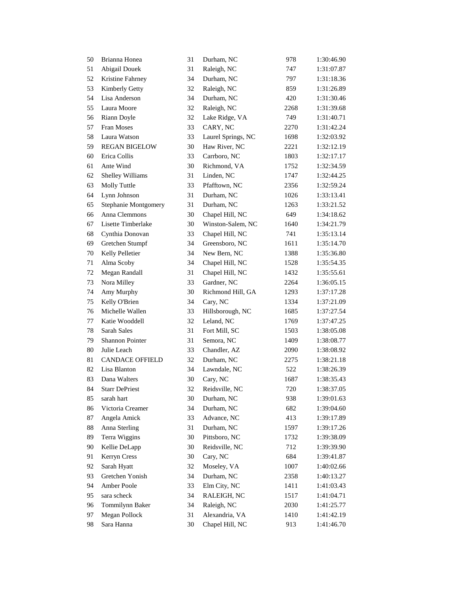| 50 | Brianna Honea          | 31     | Durham, NC         | 978  | 1:30:46.90 |
|----|------------------------|--------|--------------------|------|------------|
| 51 | Abigail Douek          | 31     | Raleigh, NC        | 747  | 1:31:07.87 |
| 52 | Kristine Fahrney       | 34     | Durham, NC         | 797  | 1:31:18.36 |
| 53 | Kimberly Getty         | 32     | Raleigh, NC        | 859  | 1:31:26.89 |
| 54 | Lisa Anderson          | 34     | Durham, NC         | 420  | 1:31:30.46 |
| 55 | Laura Moore            | 32     | Raleigh, NC        | 2268 | 1:31:39.68 |
| 56 | Riann Doyle            | 32     | Lake Ridge, VA     | 749  | 1:31:40.71 |
| 57 | Fran Moses             | 33     | CARY, NC           | 2270 | 1:31:42.24 |
| 58 | Laura Watson           | 33     | Laurel Springs, NC | 1698 | 1:32:03.92 |
| 59 | <b>REGAN BIGELOW</b>   | 30     | Haw River, NC      | 2221 | 1:32:12.19 |
| 60 | Erica Collis           | 33     | Carrboro, NC       | 1803 | 1:32:17.17 |
| 61 | Ante Wind              | 30     | Richmond, VA       | 1752 | 1:32:34.59 |
| 62 | Shelley Williams       | 31     | Linden, NC         | 1747 | 1:32:44.25 |
| 63 | Molly Tuttle           | 33     | Pfafftown, NC      | 2356 | 1:32:59.24 |
| 64 | Lynn Johnson           | 31     | Durham, NC         | 1026 | 1:33:13.41 |
| 65 | Stephanie Montgomery   | 31     | Durham, NC         | 1263 | 1:33:21.52 |
| 66 | Anna Clemmons          | 30     | Chapel Hill, NC    | 649  | 1:34:18.62 |
| 67 | Lisette Timberlake     | 30     | Winston-Salem, NC  | 1640 | 1:34:21.79 |
| 68 | Cynthia Donovan        | 33     | Chapel Hill, NC    | 741  | 1:35:13.14 |
| 69 | Gretchen Stumpf        | 34     | Greensboro, NC     | 1611 | 1:35:14.70 |
| 70 | Kelly Pelletier        | 34     | New Bern, NC       | 1388 | 1:35:36.80 |
| 71 | Alma Scoby             | 34     | Chapel Hill, NC    | 1528 | 1:35:54.35 |
| 72 | Megan Randall          | 31     | Chapel Hill, NC    | 1432 | 1:35:55.61 |
| 73 | Nora Milley            | 33     | Gardner, NC        | 2264 | 1:36:05.15 |
| 74 | Amy Murphy             | 30     | Richmond Hill, GA  | 1293 | 1:37:17.28 |
| 75 | Kelly O'Brien          | 34     | Cary, NC           | 1334 | 1:37:21.09 |
| 76 | Michelle Wallen        | 33     | Hillsborough, NC   | 1685 | 1:37:27.54 |
| 77 | Katie Wooddell         | 32     | Leland, NC         | 1769 | 1:37:47.25 |
| 78 | Sarah Sales            | 31     | Fort Mill, SC      | 1503 | 1:38:05.08 |
| 79 | Shannon Pointer        | 31     | Semora, NC         | 1409 | 1:38:08.77 |
| 80 | Julie Leach            | 33     | Chandler, AZ       | 2090 | 1:38:08.92 |
| 81 | <b>CANDACE OFFIELD</b> | 32     | Durham, NC         | 2275 | 1:38:21.18 |
| 82 | Lisa Blanton           | 34     | Lawndale, NC       | 522  | 1:38:26.39 |
| 83 | Dana Walters           | 30     | Cary, NC           | 1687 | 1:38:35.43 |
| 84 | <b>Starr DePriest</b>  | 32     | Reidsville, NC     | 720  | 1:38:37.05 |
| 85 | sarah hart             | 30     | Durham, NC         | 938  | 1:39:01.63 |
| 86 | Victoria Creamer       | 34     | Durham, NC         | 682  | 1:39:04.60 |
| 87 | Angela Amick           | 33     | Advance, NC        | 413  | 1:39:17.89 |
| 88 | Anna Sterling          | 31     | Durham, NC         | 1597 | 1:39:17.26 |
| 89 | Terra Wiggins          | $30\,$ | Pittsboro, NC      | 1732 | 1:39:38.09 |
| 90 | Kellie DeLapp          | 30     | Reidsville, NC     | 712  | 1:39:39.90 |
| 91 | Kerryn Cress           | 30     | Cary, NC           | 684  | 1:39:41.87 |
| 92 | Sarah Hyatt            | 32     | Moseley, VA        | 1007 | 1:40:02.66 |
| 93 | Gretchen Yonish        | 34     | Durham, NC         | 2358 | 1:40:13.27 |
| 94 | Amber Poole            | 33     | Elm City, NC       | 1411 | 1:41:03.43 |
| 95 | sara scheck            | 34     | RALEIGH, NC        | 1517 | 1:41:04.71 |
| 96 | Tommilynn Baker        | 34     | Raleigh, NC        | 2030 | 1:41:25.77 |
| 97 | Megan Pollock          | 31     | Alexandria, VA     | 1410 | 1:41:42.19 |
| 98 | Sara Hanna             | 30     | Chapel Hill, NC    | 913  | 1:41:46.70 |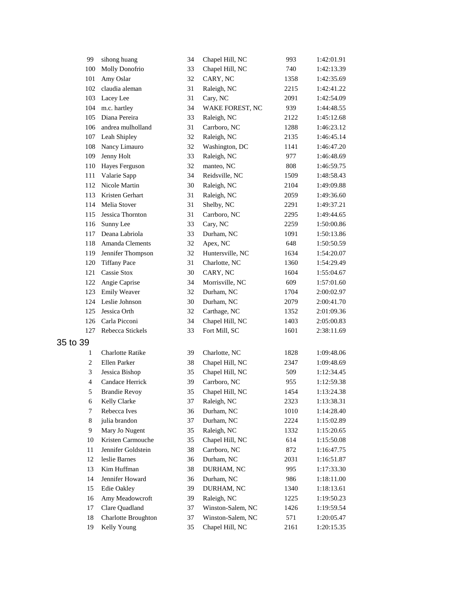| 99             | sihong huang            | 34 | Chapel Hill, NC   | 993  | 1:42:01.91 |
|----------------|-------------------------|----|-------------------|------|------------|
| 100            | Molly Donofrio          | 33 | Chapel Hill, NC   | 740  | 1:42:13.39 |
| 101            | Amy Oslar               | 32 | CARY, NC          | 1358 | 1:42:35.69 |
| 102            | claudia aleman          | 31 | Raleigh, NC       | 2215 | 1:42:41.22 |
| 103            | Lacey Lee               | 31 | Cary, NC          | 2091 | 1:42:54.09 |
| 104            | m.c. hartley            | 34 | WAKE FOREST, NC   | 939  | 1:44:48.55 |
| 105            | Diana Pereira           | 33 | Raleigh, NC       | 2122 | 1:45:12.68 |
| 106            | andrea mulholland       | 31 | Carrboro, NC      | 1288 | 1:46:23.12 |
| 107            | Leah Shipley            | 32 | Raleigh, NC       | 2135 | 1:46:45.14 |
| 108            | Nancy Limauro           | 32 | Washington, DC    | 1141 | 1:46:47.20 |
| 109            | Jenny Holt              | 33 | Raleigh, NC       | 977  | 1:46:48.69 |
| 110            | Hayes Ferguson          | 32 | manteo, NC        | 808  | 1:46:59.75 |
| 111            | Valarie Sapp            | 34 | Reidsville, NC    | 1509 | 1:48:58.43 |
| 112            | Nicole Martin           | 30 | Raleigh, NC       | 2104 | 1:49:09.88 |
| 113            | Kristen Gerhart         | 31 | Raleigh, NC       | 2059 | 1:49:36.60 |
| 114            | Melia Stover            | 31 | Shelby, NC        | 2291 | 1:49:37.21 |
| 115            | Jessica Thornton        | 31 | Carrboro, NC      | 2295 | 1:49:44.65 |
| 116            | Sunny Lee               | 33 | Cary, NC          | 2259 | 1:50:00.86 |
| 117            | Deana Labriola          | 33 | Durham, NC        | 1091 | 1:50:13.86 |
| 118            | Amanda Clements         | 32 | Apex, NC          | 648  | 1:50:50.59 |
| 119            | Jennifer Thompson       | 32 | Huntersville, NC  | 1634 | 1:54:20.07 |
| 120            | <b>Tiffany Pace</b>     | 31 | Charlotte, NC     | 1360 | 1:54:29.49 |
| 121            | Cassie Stox             | 30 | CARY, NC          | 1604 | 1:55:04.67 |
| 122            | Angie Caprise           | 34 | Morrisville, NC   | 609  | 1:57:01.60 |
| 123            | <b>Emily Weaver</b>     | 32 | Durham, NC        | 1704 | 2:00:02.97 |
| 124            | Leslie Johnson          | 30 | Durham, NC        | 2079 | 2:00:41.70 |
| 125            | Jessica Orth            | 32 | Carthage, NC      | 1352 | 2:01:09.36 |
| 126            | Carla Picconi           | 34 | Chapel Hill, NC   | 1403 | 2:05:00.83 |
| 127            | Rebecca Stickels        | 33 | Fort Mill, SC     | 1601 | 2:38:11.69 |
| 35 to 39       |                         |    |                   |      |            |
| 1              | <b>Charlotte Ratike</b> | 39 | Charlotte, NC     | 1828 | 1:09:48.06 |
| 2              | Ellen Parker            | 38 | Chapel Hill, NC   | 2347 | 1:09:48.69 |
| 3              | Jessica Bishop          | 35 | Chapel Hill, NC   | 509  | 1:12:34.45 |
| $\overline{4}$ | Candace Herrick         | 39 | Carrboro, NC      | 955  | 1:12:59.38 |
| 5              | <b>Brandie Revoy</b>    | 35 | Chapel Hill, NC   | 1454 | 1:13:24.38 |
| 6              | Kelly Clarke            | 37 | Raleigh, NC       | 2323 | 1:13:38.31 |
| 7              | Rebecca Ives            | 36 | Durham, NC        | 1010 | 1:14:28.40 |
| 8              | julia brandon           | 37 | Durham, NC        | 2224 | 1:15:02.89 |
| 9              | Mary Jo Nugent          | 35 | Raleigh, NC       | 1332 | 1:15:20.65 |
| 10             | Kristen Carmouche       | 35 | Chapel Hill, NC   | 614  | 1:15:50.08 |
| 11             | Jennifer Goldstein      | 38 | Carrboro, NC      | 872  | 1:16:47.75 |
| 12             | leslie Barnes           | 36 | Durham, NC        | 2031 | 1:16:51.87 |
| 13             | Kim Huffman             | 38 | DURHAM, NC        | 995  | 1:17:33.30 |
| 14             | Jennifer Howard         | 36 | Durham, NC        | 986  | 1:18:11.00 |
| 15             | Edie Oakley             | 39 | DURHAM, NC        | 1340 | 1:18:13.61 |
| 16             | Amy Meadowcroft         | 39 | Raleigh, NC       | 1225 | 1:19:50.23 |
| 17             | Clare Quadland          | 37 | Winston-Salem, NC | 1426 | 1:19:59.54 |
| 18             | Charlotte Broughton     | 37 | Winston-Salem, NC | 571  | 1:20:05.47 |
| 19             | Kelly Young             | 35 | Chapel Hill, NC   | 2161 | 1:20:15.35 |
|                |                         |    |                   |      |            |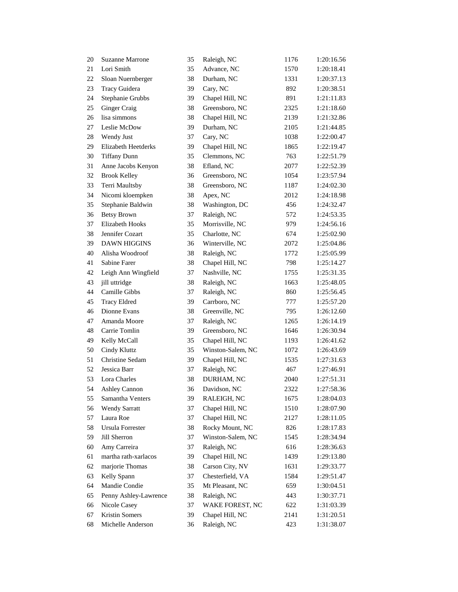| 20 | <b>Suzanne Marrone</b> | 35 | Raleigh, NC       | 1176 | 1:20:16.56 |
|----|------------------------|----|-------------------|------|------------|
| 21 | Lori Smith             | 35 | Advance, NC       | 1570 | 1:20:18.41 |
| 22 | Sloan Nuernberger      | 38 | Durham, NC        | 1331 | 1:20:37.13 |
| 23 | Tracy Guidera          | 39 | Cary, NC          | 892  | 1:20:38.51 |
| 24 | Stephanie Grubbs       | 39 | Chapel Hill, NC   | 891  | 1:21:11.83 |
| 25 | Ginger Craig           | 38 | Greensboro, NC    | 2325 | 1:21:18.60 |
| 26 | lisa simmons           | 38 | Chapel Hill, NC   | 2139 | 1:21:32.86 |
| 27 | Leslie McDow           | 39 | Durham, NC        | 2105 | 1:21:44.85 |
| 28 | Wendy Just             | 37 | Cary, NC          | 1038 | 1:22:00.47 |
| 29 | Elizabeth Heetderks    | 39 | Chapel Hill, NC   | 1865 | 1:22:19.47 |
| 30 | <b>Tiffany Dunn</b>    | 35 | Clemmons, NC      | 763  | 1:22:51.79 |
| 31 | Anne Jacobs Kenyon     | 38 | Efland, NC        | 2077 | 1:22:52.39 |
| 32 | <b>Brook Kelley</b>    | 36 | Greensboro, NC    | 1054 | 1:23:57.94 |
| 33 | Terri Maultsby         | 38 | Greensboro, NC    | 1187 | 1:24:02.30 |
| 34 | Nicomi kloempken       | 38 | Apex, NC          | 2012 | 1:24:18.98 |
| 35 | Stephanie Baldwin      | 38 | Washington, DC    | 456  | 1:24:32.47 |
| 36 | <b>Betsy Brown</b>     | 37 | Raleigh, NC       | 572  | 1:24:53.35 |
| 37 | Elizabeth Hooks        | 35 | Morrisville, NC   | 979  | 1:24:56.16 |
| 38 | Jennifer Cozart        | 35 | Charlotte, NC     | 674  | 1:25:02.90 |
| 39 | <b>DAWN HIGGINS</b>    | 36 | Winterville, NC   | 2072 | 1:25:04.86 |
| 40 | Alisha Woodroof        | 38 | Raleigh, NC       | 1772 | 1:25:05.99 |
| 41 | Sabine Farer           | 38 | Chapel Hill, NC   | 798  | 1:25:14.27 |
| 42 | Leigh Ann Wingfield    | 37 | Nashville, NC     | 1755 | 1:25:31.35 |
| 43 | jill uttridge          | 38 | Raleigh, NC       | 1663 | 1:25:48.05 |
| 44 | Camille Gibbs          | 37 | Raleigh, NC       | 860  | 1:25:56.45 |
| 45 | <b>Tracy Eldred</b>    | 39 | Carrboro, NC      | 777  | 1:25:57.20 |
| 46 | Dionne Evans           | 38 | Greenville, NC    | 795  | 1:26:12.60 |
| 47 | Amanda Moore           | 37 | Raleigh, NC       | 1265 | 1:26:14.19 |
| 48 | Carrie Tomlin          | 39 | Greensboro, NC    | 1646 | 1:26:30.94 |
| 49 | Kelly McCall           | 35 | Chapel Hill, NC   | 1193 | 1:26:41.62 |
| 50 | Cindy Kluttz           | 35 | Winston-Salem, NC | 1072 | 1:26:43.69 |
| 51 | Christine Sedam        | 39 | Chapel Hill, NC   | 1535 | 1:27:31.63 |
| 52 | Jessica Barr           | 37 | Raleigh, NC       | 467  | 1:27:46.91 |
| 53 | Lora Charles           | 38 | DURHAM, NC        | 2040 | 1:27:51.31 |
| 54 | <b>Ashley Cannon</b>   | 36 | Davidson, NC      | 2322 | 1:27:58.36 |
| 55 | Samantha Venters       | 39 | RALEIGH, NC       | 1675 | 1:28:04.03 |
| 56 | <b>Wendy Sarratt</b>   | 37 | Chapel Hill, NC   | 1510 | 1:28:07.90 |
| 57 | Laura Roe              | 37 | Chapel Hill, NC   | 2127 | 1:28:11.05 |
| 58 | Ursula Forrester       | 38 | Rocky Mount, NC   | 826  | 1:28:17.83 |
| 59 | Jill Sherron           | 37 | Winston-Salem, NC | 1545 | 1:28:34.94 |
| 60 | Amy Carreira           | 37 | Raleigh, NC       | 616  | 1:28:36.63 |
| 61 | martha rath-xarlacos   | 39 | Chapel Hill, NC   | 1439 | 1:29:13.80 |
| 62 | marjorie Thomas        | 38 | Carson City, NV   | 1631 | 1:29:33.77 |
| 63 | Kelly Spann            | 37 | Chesterfield, VA  | 1584 | 1:29:51.47 |
| 64 | Mandie Condie          | 35 | Mt Pleasant, NC   | 659  | 1:30:04.51 |
| 65 | Penny Ashley-Lawrence  | 38 | Raleigh, NC       | 443  | 1:30:37.71 |
| 66 | Nicole Casey           | 37 | WAKE FOREST, NC   | 622  | 1:31:03.39 |
| 67 | Kristin Somers         | 39 | Chapel Hill, NC   | 2141 | 1:31:20.51 |
| 68 | Michelle Anderson      | 36 | Raleigh, NC       | 423  | 1:31:38.07 |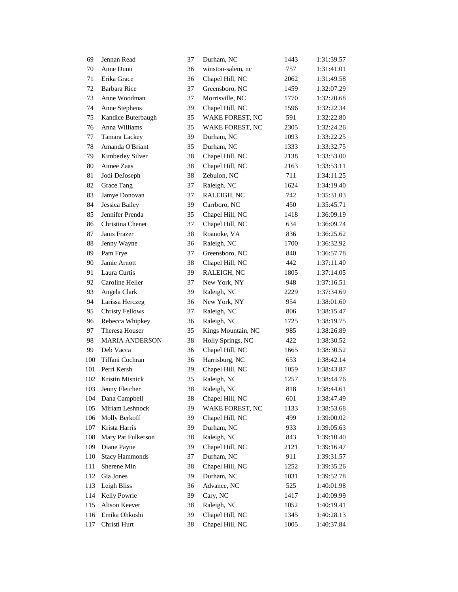| 69  | Jennan Read            | 37 | Durham, NC         | 1443 | 1:31:39.57 |
|-----|------------------------|----|--------------------|------|------------|
| 70  | Anne Dunn              | 36 | winston-salem, nc  | 757  | 1:31:41.01 |
| 71  | Erika Grace            | 36 | Chapel Hill, NC    | 2062 | 1:31:49.58 |
| 72  | <b>Barbara Rice</b>    | 37 | Greensboro, NC     | 1459 | 1:32:07.29 |
| 73  | Anne Woodman           | 37 | Morrisville, NC    | 1770 | 1:32:20.68 |
| 74  | Anne Stephens          | 39 | Chapel Hill, NC    | 1596 | 1:32:22.34 |
| 75  | Kandice Buterbaugh     | 35 | WAKE FOREST, NC    | 591  | 1:32:22.80 |
| 76  | Anna Williams          | 35 | WAKE FOREST, NC    | 2305 | 1:32:24.26 |
| 77  | Tamara Lackey          | 39 | Durham, NC         | 1093 | 1:33:22.25 |
| 78  | Amanda O'Briant        | 35 | Durham, NC         | 1333 | 1:33:32.75 |
| 79  | Kimberley Silver       | 38 | Chapel Hill, NC    | 2138 | 1:33:53.00 |
| 80  | Aimee Zaas             | 38 | Chapel Hill, NC    | 2163 | 1:33:53.11 |
| 81  | Jodi DeJoseph          | 38 | Zebulon, NC        | 711  | 1:34:11.25 |
| 82  | Grace Tang             | 37 | Raleigh, NC        | 1624 | 1:34:19.40 |
| 83  | Jamye Donovan          | 37 | RALEIGH, NC        | 742  | 1:35:31.03 |
| 84  | Jessica Bailey         | 39 | Carrboro, NC       | 450  | 1:35:45.71 |
| 85  | Jennifer Prenda        | 35 | Chapel Hill, NC    | 1418 | 1:36:09.19 |
| 86  | Christina Chenet       | 37 | Chapel Hill, NC    | 634  | 1:36:09.74 |
| 87  | Janis Frazer           | 38 | Roanoke, VA        | 836  | 1:36:25.62 |
| 88  | Jenny Wayne            | 36 | Raleigh, NC        | 1700 | 1:36:32.92 |
| 89  | Pam Frye               | 37 | Greensboro, NC     | 840  | 1:36:57.78 |
| 90  | Jamie Arnott           | 38 | Chapel Hill, NC    | 442  | 1:37:11.40 |
| 91  | Laura Curtis           | 39 | RALEIGH, NC        | 1805 | 1:37:14.05 |
| 92  | Caroline Heller        | 37 | New York, NY       | 948  | 1:37:16.51 |
| 93  | Angela Clark           | 39 | Raleigh, NC        | 2229 | 1:37:34.69 |
| 94  | Larissa Herczeg        | 36 | New York, NY       | 954  | 1:38:01.60 |
| 95  | <b>Christy Fellows</b> | 37 | Raleigh, NC        | 806  | 1:38:15.47 |
| 96  | Rebecca Whipkey        | 36 | Raleigh, NC        | 1725 | 1:38:19.75 |
| 97  | Theresa Houser         | 35 | Kings Mountain, NC | 985  | 1:38:26.89 |
| 98  | <b>MARIA ANDERSON</b>  | 38 | Holly Springs, NC  | 422  | 1:38:30.52 |
| 99  | Deb Vacca              | 36 | Chapel Hill, NC    | 1665 | 1:38:30.52 |
| 100 | Tiffani Cochran        | 36 | Harrisburg, NC     | 653  | 1:38:42.14 |
| 101 | Perri Kersh            | 39 | Chapel Hill, NC    | 1059 | 1:38:43.87 |
| 102 | Kristin Misnick        | 35 | Raleigh, NC        | 1257 | 1:38:44.76 |
| 103 | Jenny Fletcher         | 38 | Raleigh, NC        | 818  | 1:38:44.61 |
| 104 | Dana Campbell          | 38 | Chapel Hill, NC    | 601  | 1:38:47.49 |
| 105 | Miriam Leshnock        | 39 | WAKE FOREST, NC    | 1133 | 1:38:53.68 |
| 106 | Molly Berkoff          | 39 | Chapel Hill, NC    | 499  | 1:39:00.02 |
| 107 | Krista Harris          | 39 | Durham, NC         | 933  | 1:39:05.63 |
| 108 | Mary Pat Fulkerson     | 38 | Raleigh, NC        | 843  | 1:39:10.40 |
| 109 | Diane Payne            | 39 | Chapel Hill, NC    | 2121 | 1:39:16.47 |
| 110 | <b>Stacy Hammonds</b>  | 37 | Durham, NC         | 911  | 1:39:31.57 |
| 111 | Sherene Min            | 38 | Chapel Hill, NC    | 1252 | 1:39:35.26 |
| 112 | Gia Jones              | 39 | Durham, NC         | 1031 | 1:39:52.78 |
| 113 | Leigh Bliss            | 36 | Advance, NC        | 525  | 1:40:01.98 |
| 114 | Kelly Powrie           | 39 | Cary, NC           | 1417 | 1:40:09.99 |
| 115 | Alison Keever          | 38 | Raleigh, NC        | 1052 | 1:40:19.41 |
| 116 | Emika Ohkoshi          | 39 | Chapel Hill, NC    | 1345 | 1:40:28.13 |
| 117 | Christi Hurt           | 38 | Chapel Hill, NC    | 1005 | 1:40:37.84 |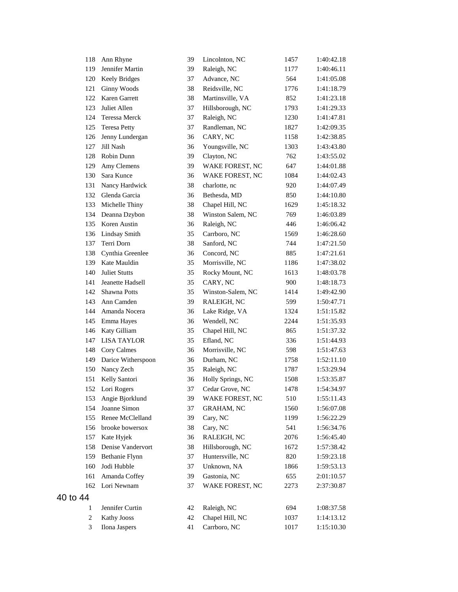| 118      | Ann Rhyne            | 39 | Lincolnton, NC    | 1457 | 1:40:42.18 |
|----------|----------------------|----|-------------------|------|------------|
| 119      | Jennifer Martin      | 39 | Raleigh, NC       | 1177 | 1:40:46.11 |
| 120      | <b>Keely Bridges</b> | 37 | Advance, NC       | 564  | 1:41:05.08 |
| 121      | Ginny Woods          | 38 | Reidsville, NC    | 1776 | 1:41:18.79 |
| 122      | Karen Garrett        | 38 | Martinsville, VA  | 852  | 1:41:23.18 |
| 123      | Juliet Allen         | 37 | Hillsborough, NC  | 1793 | 1:41:29.33 |
| 124      | Teressa Merck        | 37 | Raleigh, NC       | 1230 | 1:41:47.81 |
| 125      | <b>Teresa Petty</b>  | 37 | Randleman, NC     | 1827 | 1:42:09.35 |
| 126      | Jenny Lundergan      | 36 | CARY, NC          | 1158 | 1:42:38.85 |
| 127      | Jill Nash            | 36 | Youngsville, NC   | 1303 | 1:43:43.80 |
| 128      | Robin Dunn           | 39 | Clayton, NC       | 762  | 1:43:55.02 |
| 129      | Amy Clemens          | 39 | WAKE FOREST, NC   | 647  | 1:44:01.88 |
| 130      | Sara Kunce           | 36 | WAKE FOREST, NC   | 1084 | 1:44:02.43 |
| 131      | Nancy Hardwick       | 38 | charlotte, nc     | 920  | 1:44:07.49 |
| 132      | Glenda Garcia        | 36 | Bethesda, MD      | 850  | 1:44:10.80 |
| 133      | Michelle Thiny       | 38 | Chapel Hill, NC   | 1629 | 1:45:18.32 |
| 134      | Deanna Dzybon        | 38 | Winston Salem, NC | 769  | 1:46:03.89 |
| 135      | Koren Austin         | 36 | Raleigh, NC       | 446  | 1:46:06.42 |
| 136      | Lindsay Smith        | 35 | Carrboro, NC      | 1569 | 1:46:28.60 |
| 137      | Terri Dorn           | 38 | Sanford, NC       | 744  | 1:47:21.50 |
| 138      | Cynthia Greenlee     | 36 | Concord, NC       | 885  | 1:47:21.61 |
| 139      | Kate Mauldin         | 35 | Morrisville, NC   | 1186 | 1:47:38.02 |
| 140      | <b>Juliet Stutts</b> | 35 | Rocky Mount, NC   | 1613 | 1:48:03.78 |
| 141      | Jeanette Hadsell     | 35 | CARY, NC          | 900  | 1:48:18.73 |
| 142      | <b>Shawna Potts</b>  | 35 | Winston-Salem, NC | 1414 | 1:49:42.90 |
| 143      | Ann Camden           | 39 | RALEIGH, NC       | 599  | 1:50:47.71 |
| 144      | Amanda Nocera        | 36 | Lake Ridge, VA    | 1324 | 1:51:15.82 |
| 145      | Emma Hayes           | 36 | Wendell, NC       | 2244 | 1:51:35.93 |
| 146      | Katy Gilliam         | 35 | Chapel Hill, NC   | 865  | 1:51:37.32 |
| 147      | <b>LISA TAYLOR</b>   | 35 | Efland, NC        | 336  | 1:51:44.93 |
| 148      | Cory Calmes          | 36 | Morrisville, NC   | 598  | 1:51:47.63 |
| 149      | Darice Witherspoon   | 36 | Durham, NC        | 1758 | 1:52:11.10 |
| 150      | Nancy Zech           | 35 | Raleigh, NC       | 1787 | 1:53:29.94 |
| 151      | Kelly Santori        | 36 | Holly Springs, NC | 1508 | 1:53:35.87 |
| 152      | Lori Rogers          | 37 | Cedar Grove, NC   | 1478 | 1:54:34.97 |
| 153      | Angie Bjorklund      | 39 | WAKE FOREST, NC   | 510  | 1:55:11.43 |
| 154      | Joanne Simon         | 37 | <b>GRAHAM, NC</b> | 1560 | 1:56:07.08 |
| 155      | Renee McClelland     | 39 | Cary, NC          | 1199 | 1:56:22.29 |
| 156      | brooke bowersox      | 38 | Cary, NC          | 541  | 1:56:34.76 |
| 157      | Kate Hyjek           | 36 | RALEIGH, NC       | 2076 | 1:56:45.40 |
| 158      | Denise Vandervort    | 38 | Hillsborough, NC  | 1672 | 1:57:38.42 |
| 159      | Bethanie Flynn       | 37 | Huntersville, NC  | 820  | 1:59:23.18 |
| 160      | Jodi Hubble          | 37 | Unknown, NA       | 1866 | 1:59:53.13 |
| 161      | Amanda Coffey        | 39 | Gastonia, NC      | 655  | 2:01:10.57 |
| 162      | Lori Newnam          | 37 | WAKE FOREST, NC   | 2273 | 2:37:30.87 |
| 40 to 44 |                      |    |                   |      |            |
| 1        | Jennifer Curtin      | 42 | Raleigh, NC       | 694  | 1:08:37.58 |
| 2        | Kathy Jooss          | 42 | Chapel Hill, NC   | 1037 | 1:14:13.12 |
| 3        | Ilona Jaspers        | 41 | Carrboro, NC      | 1017 | 1:15:10.30 |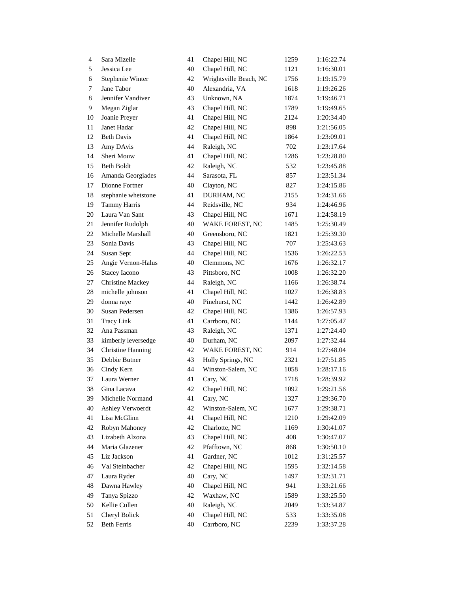| $\overline{4}$ | Sara Mizelle             | 41 | Chapel Hill, NC        | 1259 | 1:16:22.74 |
|----------------|--------------------------|----|------------------------|------|------------|
| 5              | Jessica Lee              | 40 | Chapel Hill, NC        | 1121 | 1:16:30.01 |
| 6              | Stephenie Winter         | 42 | Wrightsville Beach, NC | 1756 | 1:19:15.79 |
| 7              | Jane Tabor               | 40 | Alexandria, VA         | 1618 | 1:19:26.26 |
| 8              | Jennifer Vandiver        | 43 | Unknown, NA            | 1874 | 1:19:46.71 |
| 9              | Megan Ziglar             | 43 | Chapel Hill, NC        | 1789 | 1:19:49.65 |
| 10             | Joanie Preyer            | 41 | Chapel Hill, NC        | 2124 | 1:20:34.40 |
| 11             | Janet Hadar              | 42 | Chapel Hill, NC        | 898  | 1:21:56.05 |
| 12             | <b>Beth Davis</b>        | 41 | Chapel Hill, NC        | 1864 | 1:23:09.01 |
| 13             | Amy DAvis                | 44 | Raleigh, NC            | 702  | 1:23:17.64 |
| 14             | Sheri Mouw               | 41 | Chapel Hill, NC        | 1286 | 1:23:28.80 |
| 15             | <b>Beth Boldt</b>        | 42 | Raleigh, NC            | 532  | 1:23:45.88 |
| 16             | Amanda Georgiades        | 44 | Sarasota, FL           | 857  | 1:23:51.34 |
| 17             | Dionne Fortner           | 40 | Clayton, NC            | 827  | 1:24:15.86 |
| 18             | stephanie whetstone      | 41 | DURHAM, NC             | 2155 | 1:24:31.66 |
| 19             | Tammy Harris             | 44 | Reidsville, NC         | 934  | 1:24:46.96 |
| 20             | Laura Van Sant           | 43 | Chapel Hill, NC        | 1671 | 1:24:58.19 |
| 21             | Jennifer Rudolph         | 40 | WAKE FOREST, NC        | 1485 | 1:25:30.49 |
| 22             | Michelle Marshall        | 40 | Greensboro, NC         | 1821 | 1:25:39.30 |
| 23             | Sonia Davis              | 43 | Chapel Hill, NC        | 707  | 1:25:43.63 |
| 24             | Susan Sept               | 44 | Chapel Hill, NC        | 1536 | 1:26:22.53 |
| 25             | Angie Vernon-Halus       | 40 | Clemmons, NC           | 1676 | 1:26:32.17 |
| 26             | <b>Stacey Iacono</b>     | 43 | Pittsboro, NC          | 1008 | 1:26:32.20 |
| 27             | <b>Christine Mackey</b>  | 44 | Raleigh, NC            | 1166 | 1:26:38.74 |
| 28             | michelle johnson         | 41 | Chapel Hill, NC        | 1027 | 1:26:38.83 |
| 29             | donna raye               | 40 | Pinehurst, NC          | 1442 | 1:26:42.89 |
| 30             | Susan Pedersen           | 42 | Chapel Hill, NC        | 1386 | 1:26:57.93 |
| 31             | <b>Tracy Link</b>        | 41 | Carrboro, NC           | 1144 | 1:27:05.47 |
| 32             | Ana Passman              | 43 | Raleigh, NC            | 1371 | 1:27:24.40 |
| 33             | kimberly leversedge      | 40 | Durham, NC             | 2097 | 1:27:32.44 |
| 34             | <b>Christine Hanning</b> | 42 | WAKE FOREST, NC        | 914  | 1:27:48.04 |
| 35             | Debbie Butner            | 43 | Holly Springs, NC      | 2321 | 1:27:51.85 |
| 36             | Cindy Kern               | 44 | Winston-Salem, NC      | 1058 | 1:28:17.16 |
| 37             | Laura Werner             | 41 | Cary, NC               | 1718 | 1:28:39.92 |
| 38             | Gina Lacava              | 42 | Chapel Hill, NC        | 1092 | 1:29:21.56 |
| 39             | Michelle Normand         | 41 | Cary, NC               | 1327 | 1:29:36.70 |
| 40             | Ashley Verwoerdt         | 42 | Winston-Salem, NC      | 1677 | 1:29:38.71 |
| 41             | Lisa McGlinn             | 41 | Chapel Hill, NC        | 1210 | 1:29:42.09 |
| 42             | Robyn Mahoney            | 42 | Charlotte, NC          | 1169 | 1:30:41.07 |
| 43             | Lizabeth Alzona          | 43 | Chapel Hill, NC        | 408  | 1:30:47.07 |
| 44             | Maria Glazener           | 42 | Pfafftown, NC          | 868  | 1:30:50.10 |
| 45             | Liz Jackson              | 41 | Gardner, NC            | 1012 | 1:31:25.57 |
| 46             | Val Steinbacher          | 42 | Chapel Hill, NC        | 1595 | 1:32:14.58 |
| 47             | Laura Ryder              | 40 | Cary, NC               | 1497 | 1:32:31.71 |
| 48             | Dawna Hawley             | 40 | Chapel Hill, NC        | 941  | 1:33:21.66 |
| 49             | Tanya Spizzo             | 42 | Waxhaw, NC             | 1589 | 1:33:25.50 |
| 50             | Kellie Cullen            | 40 | Raleigh, NC            | 2049 | 1:33:34.87 |
| 51             | Cheryl Bolick            | 40 | Chapel Hill, NC        | 533  | 1:33:35.08 |
| 52             | <b>Beth Ferris</b>       | 40 | Carrboro, NC           | 2239 | 1:33:37.28 |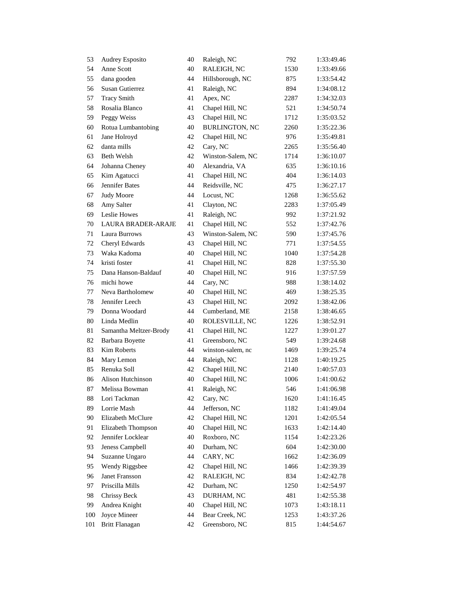| 53  | Audrey Esposito           | 40 | Raleigh, NC           | 792  | 1:33:49.46 |
|-----|---------------------------|----|-----------------------|------|------------|
| 54  | Anne Scott                | 40 | RALEIGH, NC           | 1530 | 1:33:49.66 |
| 55  | dana gooden               | 44 | Hillsborough, NC      | 875  | 1:33:54.42 |
| 56  | Susan Gutierrez           | 41 | Raleigh, NC           | 894  | 1:34:08.12 |
| 57  | <b>Tracy Smith</b>        | 41 | Apex, NC              | 2287 | 1:34:32.03 |
| 58  | Rosalia Blanco            | 41 | Chapel Hill, NC       | 521  | 1:34:50.74 |
| 59  | Peggy Weiss               | 43 | Chapel Hill, NC       | 1712 | 1:35:03.52 |
| 60  | Rotua Lumbantobing        | 40 | <b>BURLINGTON, NC</b> | 2260 | 1:35:22.36 |
| 61  | Jane Holroyd              | 42 | Chapel Hill, NC       | 976  | 1:35:49.81 |
| 62  | danta mills               | 42 | Cary, NC              | 2265 | 1:35:56.40 |
| 63  | Beth Welsh                | 42 | Winston-Salem, NC     | 1714 | 1:36:10.07 |
| 64  | Johanna Cheney            | 40 | Alexandria, VA        | 635  | 1:36:10.16 |
| 65  | Kim Agatucci              | 41 | Chapel Hill, NC       | 404  | 1:36:14.03 |
| 66  | Jennifer Bates            | 44 | Reidsville, NC        | 475  | 1:36:27.17 |
| 67  | <b>Judy Moore</b>         | 44 | Locust, NC            | 1268 | 1:36:55.62 |
| 68  | Amy Salter                | 41 | Clayton, NC           | 2283 | 1:37:05.49 |
| 69  | Leslie Howes              | 41 | Raleigh, NC           | 992  | 1:37:21.92 |
| 70  | <b>LAURA BRADER-ARAJE</b> | 41 | Chapel Hill, NC       | 552  | 1:37:42.76 |
| 71  | Laura Burrows             | 43 | Winston-Salem, NC     | 590  | 1:37:45.76 |
| 72  | Cheryl Edwards            | 43 | Chapel Hill, NC       | 771  | 1:37:54.55 |
| 73  | Waka Kadoma               | 40 | Chapel Hill, NC       | 1040 | 1:37:54.28 |
| 74  | kristi foster             | 41 | Chapel Hill, NC       | 828  | 1:37:55.30 |
| 75  | Dana Hanson-Baldauf       | 40 | Chapel Hill, NC       | 916  | 1:37:57.59 |
| 76  | michi howe                | 44 | Cary, NC              | 988  | 1:38:14.02 |
| 77  | Neva Bartholomew          | 40 | Chapel Hill, NC       | 469  | 1:38:25.35 |
| 78  | Jennifer Leech            | 43 | Chapel Hill, NC       | 2092 | 1:38:42.06 |
| 79  | Donna Woodard             | 44 | Cumberland, ME        | 2158 | 1:38:46.65 |
| 80  | Linda Medlin              | 40 | ROLESVILLE, NC        | 1226 | 1:38:52.91 |
| 81  | Samantha Meltzer-Brody    | 41 | Chapel Hill, NC       | 1227 | 1:39:01.27 |
| 82  | Barbara Boyette           | 41 | Greensboro, NC        | 549  | 1:39:24.68 |
| 83  | Kim Roberts               | 44 | winston-salem, nc     | 1469 | 1:39:25.74 |
| 84  | Mary Lemon                | 44 | Raleigh, NC           | 1128 | 1:40:19.25 |
| 85  | Renuka Soll               | 42 | Chapel Hill, NC       | 2140 | 1:40:57.03 |
| 86  | Alison Hutchinson         | 40 | Chapel Hill, NC       | 1006 | 1:41:00.62 |
| 87  | Melissa Bowman            | 41 | Raleigh, NC           | 546  | 1:41:06.98 |
| 88  | Lori Tackman              | 42 | Cary, NC              | 1620 | 1:41:16.45 |
| 89  | Lorrie Mash               | 44 | Jefferson, NC         | 1182 | 1:41:49.04 |
| 90  | Elizabeth McClure         | 42 | Chapel Hill, NC       | 1201 | 1:42:05.54 |
| 91  | Elizabeth Thompson        | 40 | Chapel Hill, NC       | 1633 | 1:42:14.40 |
| 92  | Jennifer Locklear         | 40 | Roxboro, NC           | 1154 | 1:42:23.26 |
| 93  | Jeness Campbell           | 40 | Durham, NC            | 604  | 1:42:30.00 |
| 94  | Suzanne Ungaro            | 44 | CARY, NC              | 1662 | 1:42:36.09 |
| 95  | Wendy Riggsbee            | 42 | Chapel Hill, NC       | 1466 | 1:42:39.39 |
| 96  | Janet Fransson            | 42 | RALEIGH, NC           | 834  | 1:42:42.78 |
| 97  | Priscilla Mills           | 42 | Durham, NC            | 1250 | 1:42:54.97 |
| 98  | Chrissy Beck              | 43 | DURHAM, NC            | 481  | 1:42:55.38 |
| 99  | Andrea Knight             | 40 | Chapel Hill, NC       | 1073 | 1:43:18.11 |
| 100 | Joyce Mineer              | 44 | Bear Creek, NC        | 1253 | 1:43:37.26 |
| 101 | <b>Britt Flanagan</b>     | 42 | Greensboro, NC        | 815  | 1:44:54.67 |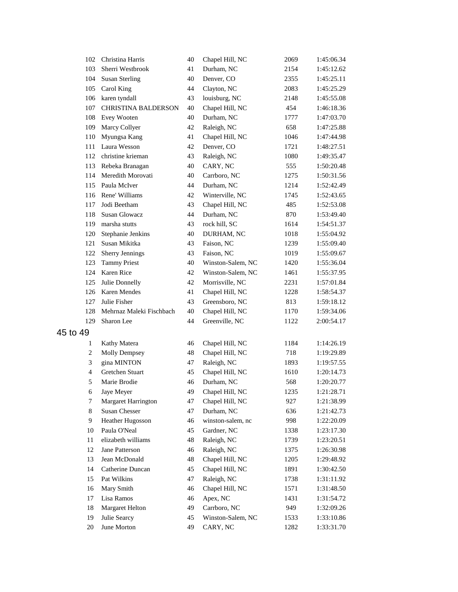| 102      | Christina Harris         | 40 | Chapel Hill, NC   | 2069 | 1:45:06.34 |
|----------|--------------------------|----|-------------------|------|------------|
| 103      | Sherri Westbrook         | 41 | Durham, NC        | 2154 | 1:45:12.62 |
| 104      | <b>Susan Sterling</b>    | 40 | Denver, CO        | 2355 | 1:45:25.11 |
| 105      | Carol King               | 44 | Clayton, NC       | 2083 | 1:45:25.29 |
| 106      | karen tyndall            | 43 | louisburg, NC     | 2148 | 1:45:55.08 |
| 107      | CHRISTINA BALDERSON      | 40 | Chapel Hill, NC   | 454  | 1:46:18.36 |
| 108      | Evey Wooten              | 40 | Durham, NC        | 1777 | 1:47:03.70 |
| 109      | Marcy Collyer            | 42 | Raleigh, NC       | 658  | 1:47:25.88 |
| 110      | Myungsa Kang             | 41 | Chapel Hill, NC   | 1046 | 1:47:44.98 |
| 111      | Laura Wesson             | 42 | Denver, CO        | 1721 | 1:48:27.51 |
| 112      | christine krieman        | 43 | Raleigh, NC       | 1080 | 1:49:35.47 |
| 113      | Rebeka Branagan          | 40 | CARY, NC          | 555  | 1:50:20.48 |
| 114      | Meredith Morovati        | 40 | Carrboro, NC      | 1275 | 1:50:31.56 |
| 115      | Paula McIver             | 44 | Durham, NC        | 1214 | 1:52:42.49 |
| 116      | Rene' Williams           | 42 | Winterville, NC   | 1745 | 1:52:43.65 |
| 117      | Jodi Beetham             | 43 | Chapel Hill, NC   | 485  | 1:52:53.08 |
| 118      | <b>Susan Glowacz</b>     | 44 | Durham, NC        | 870  | 1:53:49.40 |
| 119      | marsha stutts            | 43 | rock hill, SC     | 1614 | 1:54:51.37 |
| 120      | Stephanie Jenkins        | 40 | DURHAM, NC        | 1018 | 1:55:04.92 |
| 121      | Susan Mikitka            | 43 | Faison, NC        | 1239 | 1:55:09.40 |
| 122      | Sherry Jennings          | 43 | Faison, NC        | 1019 | 1:55:09.67 |
| 123      | <b>Tammy Priest</b>      | 40 | Winston-Salem, NC | 1420 | 1:55:36.04 |
| 124      | Karen Rice               | 42 | Winston-Salem, NC | 1461 | 1:55:37.95 |
| 125      | Julie Donnelly           | 42 | Morrisville, NC   | 2231 | 1:57:01.84 |
| 126      | Karen Mendes             | 41 | Chapel Hill, NC   | 1228 | 1:58:54.37 |
| 127      | Julie Fisher             | 43 | Greensboro, NC    | 813  | 1:59:18.12 |
| 128      | Mehrnaz Maleki Fischbach | 40 | Chapel Hill, NC   | 1170 | 1:59:34.06 |
| 129      | Sharon Lee               | 44 | Greenville, NC    | 1122 | 2:00:54.17 |
| 45 to 49 |                          |    |                   |      |            |
| 1        | Kathy Matera             | 46 | Chapel Hill, NC   | 1184 | 1:14:26.19 |
| 2        | <b>Molly Dempsey</b>     | 48 | Chapel Hill, NC   | 718  | 1:19:29.89 |
| 3        | gina MINTON              | 47 | Raleigh, NC       | 1893 | 1:19:57.55 |
| 4        | Gretchen Stuart          | 45 | Chapel Hill, NC   | 1610 | 1:20:14.73 |
| 5        | Marie Brodie             | 46 | Durham, NC        | 568  | 1:20:20.77 |
| 6        | Jaye Meyer               | 49 | Chapel Hill, NC   | 1235 | 1:21:28.71 |
| 7        | Margaret Harrington      | 47 | Chapel Hill, NC   | 927  | 1:21:38.99 |
| 8        | <b>Susan Chesser</b>     | 47 | Durham, NC        | 636  | 1:21:42.73 |
| 9        | Heather Hugosson         | 46 | winston-salem, nc | 998  | 1:22:20.09 |
| 10       | Paula O'Neal             | 45 | Gardner, NC       | 1338 | 1:23:17.30 |
| 11       | elizabeth williams       | 48 | Raleigh, NC       | 1739 | 1:23:20.51 |
| 12       | Jane Patterson           | 46 | Raleigh, NC       | 1375 | 1:26:30.98 |
| 13       | Jean McDonald            | 48 | Chapel Hill, NC   | 1205 | 1:29:48.92 |
| 14       | Catherine Duncan         | 45 | Chapel Hill, NC   | 1891 | 1:30:42.50 |
| 15       | Pat Wilkins              | 47 | Raleigh, NC       | 1738 | 1:31:11.92 |
| 16       | Mary Smith               | 46 | Chapel Hill, NC   | 1571 | 1:31:48.50 |
| 17       | Lisa Ramos               | 46 | Apex, NC          | 1431 | 1:31:54.72 |
| 18       | Margaret Helton          | 49 | Carrboro, NC      | 949  | 1:32:09.26 |
| 19       | Julie Searcy             | 45 | Winston-Salem, NC | 1533 | 1:33:10.86 |
| $20\,$   | June Morton              | 49 | CARY, NC          | 1282 | 1:33:31.70 |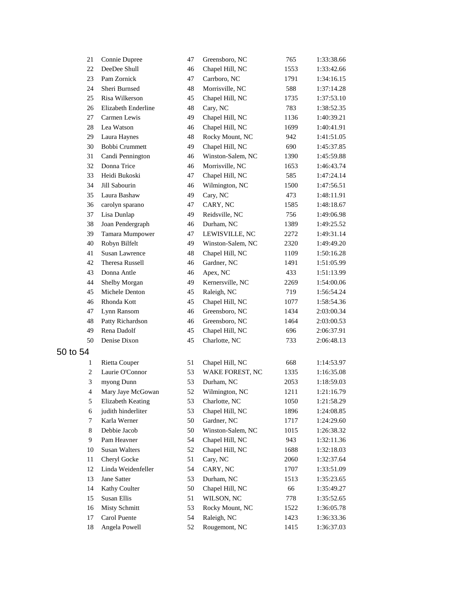| 21             | Connie Dupree         | 47 | Greensboro, NC    | 765  | 1:33:38.66 |
|----------------|-----------------------|----|-------------------|------|------------|
| 22             | DeeDee Shull          | 46 | Chapel Hill, NC   | 1553 | 1:33:42.66 |
| 23             | Pam Zornick           | 47 | Carrboro, NC      | 1791 | 1:34:16.15 |
| 24             | Sheri Burnsed         | 48 | Morrisville, NC   | 588  | 1:37:14.28 |
| 25             | Risa Wilkerson        | 45 | Chapel Hill, NC   | 1735 | 1:37:53.10 |
| 26             | Elizabeth Enderline   | 48 | Cary, NC          | 783  | 1:38:52.35 |
| 27             | Carmen Lewis          | 49 | Chapel Hill, NC   | 1136 | 1:40:39.21 |
| 28             | Lea Watson            | 46 | Chapel Hill, NC   | 1699 | 1:40:41.91 |
| 29             | Laura Haynes          | 48 | Rocky Mount, NC   | 942  | 1:41:51.05 |
| 30             | Bobbi Crummett        | 49 | Chapel Hill, NC   | 690  | 1:45:37.85 |
| 31             | Candi Pennington      | 46 | Winston-Salem, NC | 1390 | 1:45:59.88 |
| 32             | Donna Trice           | 46 | Morrisville, NC   | 1653 | 1:46:43.74 |
| 33             | Heidi Bukoski         | 47 | Chapel Hill, NC   | 585  | 1:47:24.14 |
| 34             | Jill Sabourin         | 46 | Wilmington, NC    | 1500 | 1:47:56.51 |
| 35             | Laura Bashaw          | 49 | Cary, NC          | 473  | 1:48:11.91 |
| 36             | carolyn sparano       | 47 | CARY, NC          | 1585 | 1:48:18.67 |
| 37             | Lisa Dunlap           | 49 | Reidsville, NC    | 756  | 1:49:06.98 |
| 38             | Joan Pendergraph      | 46 | Durham, NC        | 1389 | 1:49:25.52 |
| 39             | Tamara Mumpower       | 47 | LEWISVILLE, NC    | 2272 | 1:49:31.14 |
| 40             | Robyn Bilfelt         | 49 | Winston-Salem, NC | 2320 | 1:49:49.20 |
| 41             | <b>Susan Lawrence</b> | 48 | Chapel Hill, NC   | 1109 | 1:50:16.28 |
| 42             | Theresa Russell       | 46 | Gardner, NC       | 1491 | 1:51:05.99 |
| 43             | Donna Antle           | 46 | Apex, NC          | 433  | 1:51:13.99 |
| 44             | Shelby Morgan         | 49 | Kernersville, NC  | 2269 | 1:54:00.06 |
| 45             | Michele Denton        | 45 | Raleigh, NC       | 719  | 1:56:54.24 |
| 46             | Rhonda Kott           | 45 | Chapel Hill, NC   | 1077 | 1:58:54.36 |
| 47             | Lynn Ransom           | 46 | Greensboro, NC    | 1434 | 2:03:00.34 |
| 48             | Patty Richardson      | 46 | Greensboro, NC    | 1464 | 2:03:00.53 |
| 49             | Rena Dadolf           | 45 | Chapel Hill, NC   | 696  | 2:06:37.91 |
| 50             | Denise Dixon          | 45 | Charlotte, NC     | 733  | 2:06:48.13 |
| 50 to 54       |                       |    |                   |      |            |
| 1              | <b>Rietta Couper</b>  | 51 | Chapel Hill, NC   | 668  | 1:14:53.97 |
| $\overline{c}$ | Laurie O'Connor       | 53 | WAKE FOREST, NC   | 1335 | 1:16:35.08 |
| 3              | myong Dunn            | 53 | Durham, NC        | 2053 | 1:18:59.03 |
| 4              | Mary Jaye McGowan     | 52 | Wilmington, NC    | 1211 | 1:21:16.79 |
| 5              | Elizabeth Keating     | 53 | Charlotte, NC     | 1050 | 1:21:58.29 |
| 6              | judith hinderliter    | 53 | Chapel Hill, NC   | 1896 | 1:24:08.85 |
| 7              | Karla Werner          | 50 | Gardner, NC       | 1717 | 1:24:29.60 |
| 8              | Debbie Jacob          | 50 | Winston-Salem, NC | 1015 | 1:26:38.32 |
| 9              | Pam Heavner           | 54 | Chapel Hill, NC   | 943  | 1:32:11.36 |
| 10             | <b>Susan Walters</b>  | 52 | Chapel Hill, NC   | 1688 | 1:32:18.03 |
| 11             | Cheryl Gocke          | 51 | Cary, NC          | 2060 | 1:32:37.64 |
| 12             | Linda Weidenfeller    | 54 | CARY, NC          | 1707 | 1:33:51.09 |
| 13             | Jane Satter           | 53 | Durham, NC        | 1513 | 1:35:23.65 |
| 14             | Kathy Coulter         | 50 | Chapel Hill, NC   | 66   | 1:35:49.27 |
| 15             | Susan Ellis           | 51 | WILSON, NC        | 778  | 1:35:52.65 |
| 16             | <b>Misty Schmitt</b>  | 53 | Rocky Mount, NC   | 1522 | 1:36:05.78 |
| 17             | Carol Puente          | 54 | Raleigh, NC       | 1423 | 1:36:33.36 |
| 18             | Angela Powell         | 52 | Rougemont, NC     | 1415 | 1:36:37.03 |
|                |                       |    |                   |      |            |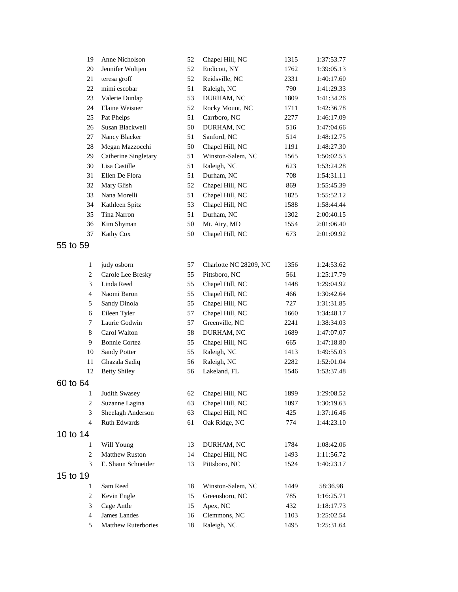| 19                  | Anne Nicholson            | 52       | Chapel Hill, NC             | 1315         | 1:37:53.77               |
|---------------------|---------------------------|----------|-----------------------------|--------------|--------------------------|
| 20                  | Jennifer Woltjen          | 52       | Endicott, NY                | 1762         | 1:39:05.13               |
| 21                  | teresa groff              | 52       | Reidsville, NC              | 2331         | 1:40:17.60               |
| 22                  | mimi escobar              | 51       | Raleigh, NC                 | 790          | 1:41:29.33               |
| 23                  | Valerie Dunlap            | 53       | DURHAM, NC                  | 1809         | 1:41:34.26               |
| 24                  | Elaine Weisner            | 52       | Rocky Mount, NC             | 1711         | 1:42:36.78               |
| 25                  | Pat Phelps                | 51       | Carrboro, NC                | 2277         | 1:46:17.09               |
| 26                  | Susan Blackwell           | 50       | DURHAM, NC                  | 516          | 1:47:04.66               |
| 27                  | Nancy Blacker             | 51       | Sanford, NC                 | 514          | 1:48:12.75               |
| 28                  | Megan Mazzocchi           | 50       | Chapel Hill, NC             | 1191         | 1:48:27.30               |
| 29                  | Catherine Singletary      | 51       | Winston-Salem, NC           | 1565         | 1:50:02.53               |
| 30                  | Lisa Castille             | 51       | Raleigh, NC                 | 623          | 1:53:24.28               |
| 31                  | Ellen De Flora            | 51       | Durham, NC                  | 708          | 1:54:31.11               |
| 32                  | Mary Glish                | 52       | Chapel Hill, NC             | 869          | 1:55:45.39               |
| 33                  | Nana Morelli              | 51       | Chapel Hill, NC             | 1825         | 1:55:52.12               |
| 34                  | Kathleen Spitz            | 53       | Chapel Hill, NC             | 1588         | 1:58:44.44               |
| 35                  | Tina Narron               | 51       | Durham, NC                  | 1302         | 2:00:40.15               |
| 36                  | Kim Shyman                | 50       | Mt. Airy, MD                | 1554         | 2:01:06.40               |
| 37                  | Kathy Cox                 | 50       | Chapel Hill, NC             | 673          | 2:01:09.92               |
| 55 to 59            |                           |          |                             |              |                          |
|                     |                           |          |                             |              |                          |
| $\mathbf{1}$        | judy osborn               | 57       | Charlotte NC 28209, NC      | 1356         | 1:24:53.62               |
| $\overline{c}$      | Carole Lee Bresky         | 55       | Pittsboro, NC               | 561          | 1:25:17.79               |
| 3                   | Linda Reed                | 55       | Chapel Hill, NC             | 1448         | 1:29:04.92               |
| 4                   | Naomi Baron               | 55       | Chapel Hill, NC             | 466          | 1:30:42.64               |
| 5                   | Sandy Dinola              | 55       | Chapel Hill, NC             | 727          | 1:31:31.85               |
| 6                   | Eileen Tyler              | 57       | Chapel Hill, NC             | 1660         | 1:34:48.17               |
| 7                   | Laurie Godwin             | 57       | Greenville, NC              | 2241         | 1:38:34.03               |
| 8                   | Carol Walton              | 58       | DURHAM, NC                  | 1689         | 1:47:07.07               |
| 9                   | <b>Bonnie Cortez</b>      | 55       | Chapel Hill, NC             | 665          | 1:47:18.80               |
| 10                  | <b>Sandy Potter</b>       | 55       | Raleigh, NC                 | 1413         | 1:49:55.03               |
| 11                  | Ghazala Sadiq             | 56       | Raleigh, NC                 | 2282         | 1:52:01.04               |
| 12                  | <b>Betty Shiley</b>       | 56       | Lakeland, FL                | 1546         | 1:53:37.48               |
| 60 to 64            |                           |          |                             |              |                          |
| 1                   | Judith Swasey             | 62       | Chapel Hill, NC             | 1899         | 1:29:08.52               |
| $\overline{c}$      | Suzanne Lagina            | 63       | Chapel Hill, NC             | 1097         | 1:30:19.63               |
| 3                   | Sheelagh Anderson         | 63       | Chapel Hill, NC             | 425          | 1:37:16.46               |
| $\overline{4}$      | Ruth Edwards              | 61       | Oak Ridge, NC               | 774          | 1:44:23.10               |
| 10 to 14            |                           |          |                             |              |                          |
| 1                   | Will Young                | 13       | DURHAM, NC                  | 1784         | 1:08:42.06               |
| 2                   | <b>Matthew Ruston</b>     | 14       | Chapel Hill, NC             | 1493         | 1:11:56.72               |
| 3                   | E. Shaun Schneider        | 13       | Pittsboro, NC               | 1524         | 1:40:23.17               |
| 15 to 19            |                           |          |                             |              |                          |
|                     |                           |          |                             |              |                          |
| 1                   | Sam Reed                  | 18       | Winston-Salem, NC           | 1449         | 58:36.98                 |
| 2                   | Kevin Engle<br>Cage Antle | 15       | Greensboro, NC              | 785          | 1:16:25.71<br>1:18:17.73 |
| 3<br>$\overline{4}$ | James Landes              | 15       | Apex, NC                    | 432          |                          |
| 5                   | Matthew Ruterbories       | 16<br>18 | Clemmons, NC<br>Raleigh, NC | 1103<br>1495 | 1:25:02.54<br>1:25:31.64 |
|                     |                           |          |                             |              |                          |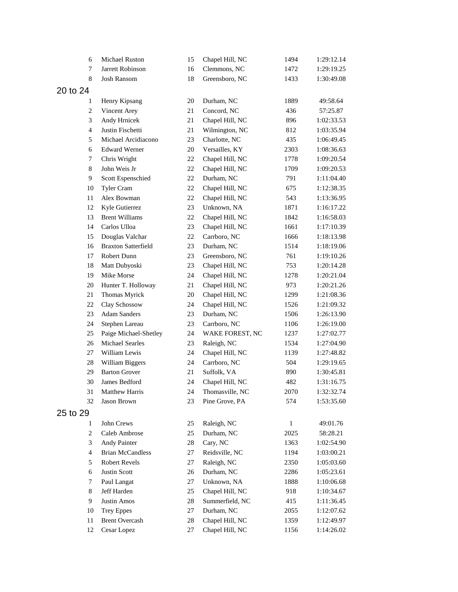|          | Michael Ruston<br>6                       | 15 | Chapel Hill, NC | 1494         | 1:29:12.14 |
|----------|-------------------------------------------|----|-----------------|--------------|------------|
|          | Jarrett Robinson<br>7                     | 16 | Clemmons, NC    | 1472         | 1:29:19.25 |
|          | 8<br><b>Josh Ransom</b>                   | 18 | Greensboro, NC  | 1433         | 1:30:49.08 |
| 20 to 24 |                                           |    |                 |              |            |
|          | Henry Kipsang<br>1                        | 20 | Durham, NC      | 1889         | 49:58.64   |
|          | $\boldsymbol{2}$<br>Vincent Arey          | 21 | Concord, NC     | 436          | 57:25.87   |
|          | 3<br>Andy Hrnicek                         | 21 | Chapel Hill, NC | 896          | 1:02:33.53 |
|          | $\overline{4}$<br>Justin Fischetti        | 21 | Wilmington, NC  | 812          | 1:03:35.94 |
|          | 5<br>Michael Arcidiacono                  | 23 | Charlotte, NC   | 435          | 1:06:49.45 |
|          | <b>Edward Werner</b><br>6                 | 20 | Versailles, KY  | 2303         | 1:08:36.63 |
|          | 7<br>Chris Wright                         | 22 | Chapel Hill, NC | 1778         | 1:09:20.54 |
|          | John Weis Jr<br>8                         | 22 | Chapel Hill, NC | 1709         | 1:09:20.53 |
|          | 9<br>Scott Espenschied                    | 22 | Durham, NC      | 791          | 1:11:04.40 |
|          | 10<br>Tyler Cram                          | 22 | Chapel Hill, NC | 675          | 1:12:38.35 |
|          | 11<br>Alex Bowman                         | 22 | Chapel Hill, NC | 543          | 1:13:36.95 |
|          | 12<br>Kyle Gutierrez                      | 23 | Unknown, NA     | 1871         | 1:16:17.22 |
|          | <b>Brent Williams</b><br>13               | 22 | Chapel Hill, NC | 1842         | 1:16:58.03 |
|          | Carlos Ulloa<br>14                        | 23 | Chapel Hill, NC | 1661         | 1:17:10.39 |
|          | 15<br>Douglas Valchar                     | 22 | Carrboro, NC    | 1666         | 1:18:13.98 |
|          | <b>Braxton Satterfield</b><br>16          | 23 | Durham, NC      | 1514         | 1:18:19.06 |
|          | 17<br><b>Robert Dunn</b>                  | 23 | Greensboro, NC  | 761          | 1:19:10.26 |
|          | 18<br>Matt Dubyoski                       | 23 | Chapel Hill, NC | 753          | 1:20:14.28 |
|          | Mike Morse<br>19                          | 24 | Chapel Hill, NC | 1278         | 1:20:21.04 |
|          | 20<br>Hunter T. Holloway                  | 21 | Chapel Hill, NC | 973          | 1:20:21.26 |
|          | 21<br>Thomas Myrick                       | 20 | Chapel Hill, NC | 1299         | 1:21:08.36 |
|          | 22<br>Clay Schossow                       | 24 | Chapel Hill, NC | 1526         | 1:21:09.32 |
|          | 23<br><b>Adam Sanders</b>                 | 23 | Durham, NC      | 1506         | 1:26:13.90 |
|          | 24<br>Stephen Lareau                      | 23 | Carrboro, NC    | 1106         | 1:26:19.00 |
|          | 25<br>Paige Michael-Shetley               | 24 | WAKE FOREST, NC | 1237         | 1:27:02.77 |
|          | Michael Searles<br>26                     | 23 | Raleigh, NC     | 1534         | 1:27:04.90 |
|          | William Lewis<br>27                       | 24 | Chapel Hill, NC | 1139         | 1:27:48.82 |
|          | 28<br>William Biggers                     | 24 | Carrboro, NC    | 504          | 1:29:19.65 |
|          | <b>Barton Grover</b><br>29                | 21 | Suffolk, VA     | 890          | 1:30:45.81 |
|          | James Bedford<br>30                       | 24 | Chapel Hill, NC | 482          | 1:31:16.75 |
|          | 31<br>Matthew Harris                      | 24 | Thomasville, NC | 2070         | 1:32:32.74 |
|          | 32<br>Jason Brown                         | 23 | Pine Grove, PA  | 574          | 1:53:35.60 |
| 25 to 29 |                                           |    |                 |              |            |
|          | John Crews<br>1                           | 25 | Raleigh, NC     | $\mathbf{1}$ | 49:01.76   |
|          | $\overline{c}$<br>Caleb Ambrose           | 25 | Durham, NC      | 2025         | 58:28.21   |
|          | 3<br>Andy Painter                         | 28 | Cary, NC        | 1363         | 1:02:54.90 |
|          | <b>Brian McCandless</b><br>$\overline{4}$ | 27 | Reidsville, NC  | 1194         | 1:03:00.21 |
|          | 5<br>Robert Revels                        | 27 | Raleigh, NC     | 2350         | 1:05:03.60 |
|          | 6<br><b>Justin Scott</b>                  | 26 | Durham, NC      | 2286         | 1:05:23.61 |
|          | Paul Langat<br>7                          | 27 | Unknown, NA     | 1888         | 1:10:06.68 |
|          | 8<br>Jeff Harden                          | 25 | Chapel Hill, NC | 918          | 1:10:34.67 |
|          | 9<br>Justin Amos                          | 28 | Summerfield, NC | 415          | 1:11:36.45 |
|          | 10<br><b>Trey Eppes</b>                   | 27 | Durham, NC      | 2055         | 1:12:07.62 |
| 11       | <b>Brent Overcash</b>                     | 28 | Chapel Hill, NC | 1359         | 1:12:49.97 |
|          | 12<br>Cesar Lopez                         | 27 | Chapel Hill, NC | 1156         | 1:14:26.02 |
|          |                                           |    |                 |              |            |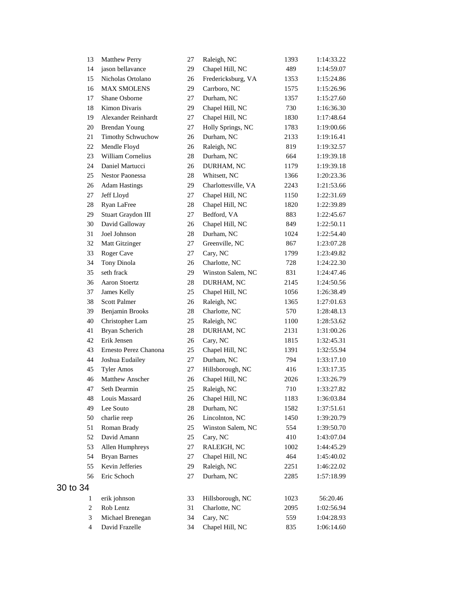| 13               | <b>Matthew Perry</b>   | 27       | Raleigh, NC         | 1393         | 1:14:33.22             |
|------------------|------------------------|----------|---------------------|--------------|------------------------|
| 14               | jason bellavance       | 29       | Chapel Hill, NC     | 489          | 1:14:59.07             |
| 15               | Nicholas Ortolano      | 26       | Fredericksburg, VA  | 1353         | 1:15:24.86             |
| 16               | <b>MAX SMOLENS</b>     | 29       | Carrboro, NC        | 1575         | 1:15:26.96             |
| 17               | Shane Osborne          | 27       | Durham, NC          | 1357         | 1:15:27.60             |
| 18               | Kimon Divaris          | 29       | Chapel Hill, NC     | 730          | 1:16:36.30             |
| 19               | Alexander Reinhardt    | 27       | Chapel Hill, NC     | 1830         | 1:17:48.64             |
| 20               | <b>Brendan Young</b>   | 27       | Holly Springs, NC   | 1783         | 1:19:00.66             |
| 21               | Timothy Schwuchow      | 26       | Durham, NC          | 2133         | 1:19:16.41             |
| 22               | Mendle Floyd           | 26       | Raleigh, NC         | 819          | 1:19:32.57             |
| 23               | William Cornelius      | 28       | Durham, NC          | 664          | 1:19:39.18             |
| 24               | Daniel Martucci        | 26       | DURHAM, NC          | 1179         | 1:19:39.18             |
| 25               | <b>Nestor Paonessa</b> | 28       | Whitsett, NC        | 1366         | 1:20:23.36             |
| 26               | <b>Adam Hastings</b>   | 29       | Charlottesville, VA | 2243         | 1:21:53.66             |
| 27               | Jeff Lloyd             | 27       | Chapel Hill, NC     | 1150         | 1:22:31.69             |
| 28               | Ryan LaFree            | 28       | Chapel Hill, NC     | 1820         | 1:22:39.89             |
| 29               | Stuart Graydon III     | 27       | Bedford, VA         | 883          | 1:22:45.67             |
| 30               | David Galloway         | 26       | Chapel Hill, NC     | 849          | 1:22:50.11             |
| 31               | Joel Johnson           | 28       | Durham, NC          | 1024         | 1:22:54.40             |
| 32               | Matt Gitzinger         | 27       | Greenville, NC      | 867          | 1:23:07.28             |
| 33               | Roger Cave             | 27       | Cary, NC            | 1799         | 1:23:49.82             |
| 34               | Tony Dinola            | 26       | Charlotte, NC       | 728          | 1:24:22.30             |
| 35               | seth frack             | 29       | Winston Salem, NC   | 831          | 1:24:47.46             |
| 36               | Aaron Stoertz          | 28       | DURHAM, NC          | 2145         | 1:24:50.56             |
| 37               | James Kelly            | 25       | Chapel Hill, NC     | 1056         | 1:26:38.49             |
| 38               | <b>Scott Palmer</b>    | 26       | Raleigh, NC         | 1365         | 1:27:01.63             |
| 39               | Benjamin Brooks        | 28       | Charlotte, NC       | 570          | 1:28:48.13             |
| 40               | Christopher Lam        | 25       | Raleigh, NC         | 1100         | 1:28:53.62             |
| 41               | Bryan Scherich         | 28       | DURHAM, NC          | 2131         | 1:31:00.26             |
| 42               | Erik Jensen            | 26       | Cary, NC            | 1815         | 1:32:45.31             |
| 43               | Ernesto Perez Chanona  | 25       | Chapel Hill, NC     | 1391         | 1:32:55.94             |
| 44               | Joshua Eudailey        | 27       | Durham, NC          | 794          | 1:33:17.10             |
| 45               | <b>Tyler Amos</b>      | 27       | Hillsborough, NC    | 416          | 1:33:17.35             |
| 46               | Matthew Anscher        | 26       | Chapel Hill, NC     | 2026         | 1:33:26.79             |
| 47               | Seth Dearmin           | 25       | Raleigh, NC         | 710          | 1:33:27.82             |
| 48               | Louis Massard          | 26       | Chapel Hill, NC     | 1183         | 1:36:03.84             |
| 49               | Lee Souto              | $28\,$   | Durham, NC          | 1582         | 1:37:51.61             |
| 50               | charlie reep           | 26       | Lincolnton, NC      | 1450         | 1:39:20.79             |
| 51               | Roman Brady            | 25       | Winston Salem, NC   | 554          | 1:39:50.70             |
| 52               | David Amann            | 25       | Cary, NC            | 410          | 1:43:07.04             |
| 53               | Allen Humphreys        | 27       | RALEIGH, NC         | 1002         | 1:44:45.29             |
| 54               | <b>Bryan Barnes</b>    | 27       | Chapel Hill, NC     | 464          | 1:45:40.02             |
| 55               | Kevin Jefferies        | 29       | Raleigh, NC         | 2251         | 1:46:22.02             |
| 56               | Eric Schoch            | 27       | Durham, NC          | 2285         | 1:57:18.99             |
| 34               |                        |          |                     |              |                        |
| $\mathbf{1}$     | erik johnson           |          | Hillsborough, NC    |              |                        |
| $\boldsymbol{2}$ | Rob Lentz              | 33<br>31 | Charlotte, NC       | 1023<br>2095 | 56:20.46<br>1:02:56.94 |
| 3                | Michael Brenegan       | 34       | Cary, NC            | 559          | 1:04:28.93             |
| $\overline{4}$   | David Frazelle         | 34       | Chapel Hill, NC     | 835          | 1:06:14.60             |
|                  |                        |          |                     |              |                        |

to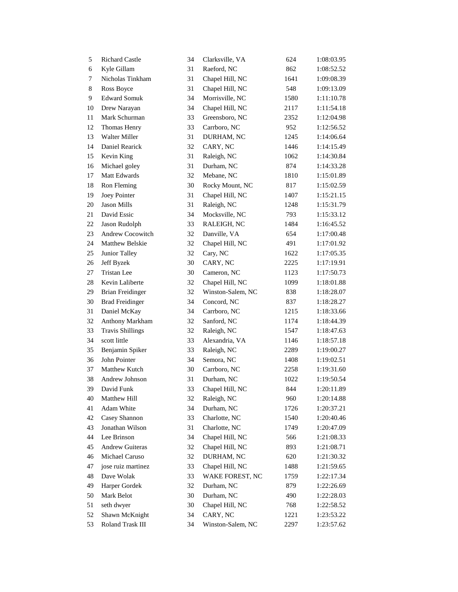| 5  | <b>Richard Castle</b>   | 34 | Clarksville, VA   | 624  | 1:08:03.95 |
|----|-------------------------|----|-------------------|------|------------|
| 6  | Kyle Gillam             | 31 | Raeford, NC       | 862  | 1:08:52.52 |
| 7  | Nicholas Tinkham        | 31 | Chapel Hill, NC   | 1641 | 1:09:08.39 |
| 8  | Ross Boyce              | 31 | Chapel Hill, NC   | 548  | 1:09:13.09 |
| 9  | <b>Edward Somuk</b>     | 34 | Morrisville, NC   | 1580 | 1:11:10.78 |
| 10 | Drew Narayan            | 34 | Chapel Hill, NC   | 2117 | 1:11:54.18 |
| 11 | Mark Schurman           | 33 | Greensboro, NC    | 2352 | 1:12:04.98 |
| 12 | Thomas Henry            | 33 | Carrboro, NC      | 952  | 1:12:56.52 |
| 13 | Walter Miller           | 31 | DURHAM, NC        | 1245 | 1:14:06.64 |
| 14 | Daniel Rearick          | 32 | CARY, NC          | 1446 | 1:14:15.49 |
| 15 | Kevin King              | 31 | Raleigh, NC       | 1062 | 1:14:30.84 |
| 16 | Michael goley           | 31 | Durham, NC        | 874  | 1:14:33.28 |
| 17 | Matt Edwards            | 32 | Mebane, NC        | 1810 | 1:15:01.89 |
| 18 | Ron Fleming             | 30 | Rocky Mount, NC   | 817  | 1:15:02.59 |
| 19 | Joey Pointer            | 31 | Chapel Hill, NC   | 1407 | 1:15:21.15 |
| 20 | <b>Jason Mills</b>      | 31 | Raleigh, NC       | 1248 | 1:15:31.79 |
| 21 | David Essic             | 34 | Mocksville, NC    | 793  | 1:15:33.12 |
| 22 | Jason Rudolph           | 33 | RALEIGH, NC       | 1484 | 1:16:45.52 |
| 23 | Andrew Cocowitch        | 32 | Danville, VA      | 654  | 1:17:00.48 |
| 24 | Matthew Belskie         | 32 | Chapel Hill, NC   | 491  | 1:17:01.92 |
| 25 | Junior Talley           | 32 | Cary, NC          | 1622 | 1:17:05.35 |
| 26 | Jeff Byzek              | 30 | CARY, NC          | 2225 | 1:17:19.91 |
| 27 | <b>Tristan Lee</b>      | 30 | Cameron, NC       | 1123 | 1:17:50.73 |
| 28 | Kevin Laliberte         | 32 | Chapel Hill, NC   | 1099 | 1:18:01.88 |
| 29 | <b>Brian Freidinger</b> | 32 | Winston-Salem, NC | 838  | 1:18:28.07 |
| 30 | <b>Brad Freidinger</b>  | 34 | Concord, NC       | 837  | 1:18:28.27 |
| 31 | Daniel McKay            | 34 | Carrboro, NC      | 1215 | 1:18:33.66 |
| 32 | Anthony Markham         | 32 | Sanford, NC       | 1174 | 1:18:44.39 |
| 33 | <b>Travis Shillings</b> | 32 | Raleigh, NC       | 1547 | 1:18:47.63 |
| 34 | scott little            | 33 | Alexandria, VA    | 1146 | 1:18:57.18 |
| 35 | Benjamin Spiker         | 33 | Raleigh, NC       | 2289 | 1:19:00.27 |
| 36 | John Pointer            | 34 | Semora, NC        | 1408 | 1:19:02.51 |
| 37 | Matthew Kutch           | 30 | Carrboro, NC      | 2258 | 1:19:31.60 |
| 38 | Andrew Johnson          | 31 | Durham, NC        | 1022 | 1:19:50.54 |
| 39 | David Funk              | 33 | Chapel Hill, NC   | 844  | 1:20:11.89 |
| 40 | Matthew Hill            | 32 | Raleigh, NC       | 960  | 1:20:14.88 |
| 41 | Adam White              | 34 | Durham, NC        | 1726 | 1:20:37.21 |
| 42 | Casey Shannon           | 33 | Charlotte, NC     | 1540 | 1:20:40.46 |
| 43 | Jonathan Wilson         | 31 | Charlotte, NC     | 1749 | 1:20:47.09 |
| 44 | Lee Brinson             | 34 | Chapel Hill, NC   | 566  | 1:21:08.33 |
| 45 | <b>Andrew Guiteras</b>  | 32 | Chapel Hill, NC   | 893  | 1:21:08.71 |
| 46 | Michael Caruso          | 32 | DURHAM, NC        | 620  | 1:21:30.32 |
| 47 | jose ruiz martinez      | 33 | Chapel Hill, NC   | 1488 | 1:21:59.65 |
| 48 | Dave Wolak              | 33 | WAKE FOREST, NC   | 1759 | 1:22:17.34 |
| 49 | Harper Gordek           | 32 | Durham, NC        | 879  | 1:22:26.69 |
| 50 | Mark Belot              | 30 | Durham, NC        | 490  | 1:22:28.03 |
| 51 | seth dwyer              | 30 | Chapel Hill, NC   | 768  | 1:22:58.52 |
| 52 | Shawn McKnight          | 34 | CARY, NC          | 1221 | 1:23:53.22 |
| 53 | Roland Trask III        | 34 | Winston-Salem, NC | 2297 | 1:23:57.62 |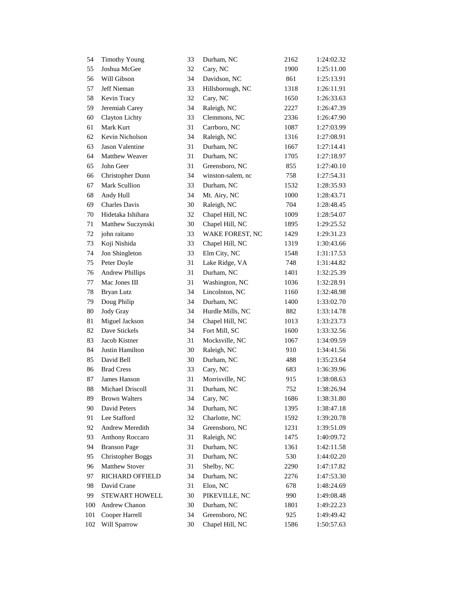| 54     | <b>Timothy Young</b>     | 33 | Durham, NC        | 2162 | 1:24:02.32 |
|--------|--------------------------|----|-------------------|------|------------|
| 55     | Joshua McGee             | 32 | Cary, NC          | 1900 | 1:25:11.00 |
| 56     | Will Gibson              | 34 | Davidson, NC      | 861  | 1:25:13.91 |
| 57     | Jeff Nieman              | 33 | Hillsborough, NC  | 1318 | 1:26:11.91 |
| 58     | Kevin Tracy              | 32 | Cary, NC          | 1650 | 1:26:33.63 |
| 59     | Jeremiah Carey           | 34 | Raleigh, NC       | 2227 | 1:26:47.39 |
| 60     | Clayton Lichty           | 33 | Clemmons, NC      | 2336 | 1:26:47.90 |
| 61     | Mark Kurt                | 31 | Carrboro, NC      | 1087 | 1:27:03.99 |
| 62     | Kevin Nicholson          | 34 | Raleigh, NC       | 1316 | 1:27:08.91 |
| 63     | Jason Valentine          | 31 | Durham, NC        | 1667 | 1:27:14.41 |
| 64     | Matthew Weaver           | 31 | Durham, NC        | 1705 | 1:27:18.97 |
| 65     | John Geer                | 31 | Greensboro, NC    | 855  | 1:27:40.10 |
| 66     | Christopher Dunn         | 34 | winston-salem, nc | 758  | 1:27:54.31 |
| 67     | Mark Scullion            | 33 | Durham, NC        | 1532 | 1:28:35.93 |
| 68     | Andy Hull                | 34 | Mt. Airy, NC      | 1000 | 1:28:43.71 |
| 69     | <b>Charles Davis</b>     | 30 | Raleigh, NC       | 704  | 1:28:48.45 |
| $70\,$ | Hidetaka Ishihara        | 32 | Chapel Hill, NC   | 1009 | 1:28:54.07 |
| 71     | Matthew Suczynski        | 30 | Chapel Hill, NC   | 1895 | 1:29:25.52 |
| 72     | john raitano             | 33 | WAKE FOREST, NC   | 1429 | 1:29:31.23 |
| 73     | Koji Nishida             | 33 | Chapel Hill, NC   | 1319 | 1:30:43.66 |
| 74     | Jon Shingleton           | 33 | Elm City, NC      | 1548 | 1:31:17.53 |
| 75     | Peter Doyle              | 31 | Lake Ridge, VA    | 748  | 1:31:44.82 |
| 76     | <b>Andrew Phillips</b>   | 31 | Durham, NC        | 1401 | 1:32:25.39 |
| 77     | Mac Jones III            | 31 | Washington, NC    | 1036 | 1:32:28.91 |
| 78     | Bryan Lutz               | 34 | Lincolnton, NC    | 1160 | 1:32:48.98 |
| 79     | Doug Philip              | 34 | Durham, NC        | 1400 | 1:33:02.70 |
| 80     | Jody Gray                | 34 | Hurdle Mills, NC  | 882  | 1:33:14.78 |
| 81     | Miguel Jackson           | 34 | Chapel Hill, NC   | 1013 | 1:33:23.73 |
| 82     | Dave Stickels            | 34 | Fort Mill, SC     | 1600 | 1:33:32.56 |
| 83     | Jacob Kistner            | 31 | Mocksville, NC    | 1067 | 1:34:09.59 |
| 84     | Justin Hamilton          | 30 | Raleigh, NC       | 910  | 1:34:41.56 |
| 85     | David Bell               | 30 | Durham, NC        | 488  | 1:35:23.64 |
| 86     | <b>Brad Cress</b>        | 33 | Cary, NC          | 683  | 1:36:39.96 |
| 87     | James Hanson             | 31 | Morrisville, NC   | 915  | 1:38:08.63 |
| 88     | Michael Driscoll         | 31 | Durham, NC        | 752  | 1:38:26.94 |
| 89     | <b>Brown Walters</b>     | 34 | Cary, NC          | 1686 | 1:38:31.80 |
| 90     | David Peters             | 34 | Durham, NC        | 1395 | 1:38:47.18 |
| 91     | Lee Stafford             | 32 | Charlotte, NC     | 1592 | 1:39:20.78 |
| 92     | Andrew Meredith          | 34 | Greensboro, NC    | 1231 | 1:39:51.09 |
| 93     | <b>Anthony Roccaro</b>   | 31 | Raleigh, NC       | 1475 | 1:40:09.72 |
| 94     | <b>Branson Page</b>      | 31 | Durham, NC        | 1361 | 1:42:11.58 |
| 95     | <b>Christopher Boggs</b> | 31 | Durham, NC        | 530  | 1:44:02.20 |
| 96     | Matthew Stover           | 31 | Shelby, NC        | 2290 | 1:47:17.82 |
| 97     | RICHARD OFFIELD          | 34 | Durham, NC        | 2276 | 1:47:53.30 |
| 98     | David Crane              | 31 | Elon, NC          | 678  | 1:48:24.69 |
| 99     | <b>STEWART HOWELL</b>    | 30 | PIKEVILLE, NC     | 990  | 1:49:08.48 |
| 100    | Andrew Chanon            | 30 | Durham, NC        | 1801 | 1:49:22.23 |
| 101    | Cooper Harrell           | 34 | Greensboro, NC    | 925  | 1:49:49.42 |
| 102    | Will Sparrow             | 30 | Chapel Hill, NC   | 1586 | 1:50:57.63 |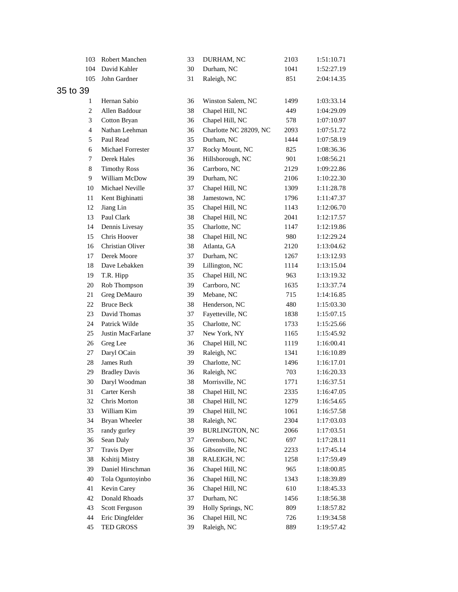| 103            | Robert Manchen       | 33 | DURHAM, NC             | 2103 | 1:51:10.71 |
|----------------|----------------------|----|------------------------|------|------------|
| 104            | David Kahler         | 30 | Durham, NC             | 1041 | 1:52:27.19 |
| 105            | John Gardner         | 31 | Raleigh, NC            | 851  | 2:04:14.35 |
| 35 to 39       |                      |    |                        |      |            |
| 1              | Hernan Sabio         | 36 | Winston Salem, NC      | 1499 | 1:03:33.14 |
| $\overline{c}$ | Allen Baddour        | 38 | Chapel Hill, NC        | 449  | 1:04:29.09 |
| 3              | Cotton Bryan         | 36 | Chapel Hill, NC        | 578  | 1:07:10.97 |
| 4              | Nathan Leehman       | 36 | Charlotte NC 28209, NC | 2093 | 1:07:51.72 |
| 5              | Paul Read            | 35 | Durham, NC             | 1444 | 1:07:58.19 |
| 6              | Michael Forrester    | 37 | Rocky Mount, NC        | 825  | 1:08:36.36 |
| 7              | Derek Hales          | 36 | Hillsborough, NC       | 901  | 1:08:56.21 |
| $\,8\,$        | <b>Timothy Ross</b>  | 36 | Carrboro, NC           | 2129 | 1:09:22.86 |
| 9              | William McDow        | 39 | Durham, NC             | 2106 | 1:10:22.30 |
| 10             | Michael Neville      | 37 | Chapel Hill, NC        | 1309 | 1:11:28.78 |
| 11             | Kent Bighinatti      | 38 | Jamestown, NC          | 1796 | 1:11:47.37 |
| 12             | Jiang Lin            | 35 | Chapel Hill, NC        | 1143 | 1:12:06.70 |
| 13             | Paul Clark           | 38 | Chapel Hill, NC        | 2041 | 1:12:17.57 |
| 14             | Dennis Livesay       | 35 | Charlotte, NC          | 1147 | 1:12:19.86 |
| 15             | Chris Hoover         | 38 | Chapel Hill, NC        | 980  | 1:12:29.24 |
| 16             | Christian Oliver     | 38 | Atlanta, GA            | 2120 | 1:13:04.62 |
| 17             | Derek Moore          | 37 | Durham, NC             | 1267 | 1:13:12.93 |
| 18             | Dave Lebakken        | 39 | Lillington, NC         | 1114 | 1:13:15.04 |
| 19             | T.R. Hipp            | 35 | Chapel Hill, NC        | 963  | 1:13:19.32 |
| 20             | Rob Thompson         | 39 | Carrboro, NC           | 1635 | 1:13:37.74 |
| 21             | Greg DeMauro         | 39 | Mebane, NC             | 715  | 1:14:16.85 |
| 22             | <b>Bruce Beck</b>    | 38 | Henderson, NC          | 480  | 1:15:03.30 |
| 23             | David Thomas         | 37 | Fayetteville, NC       | 1838 | 1:15:07.15 |
| 24             | Patrick Wilde        | 35 | Charlotte, NC          | 1733 | 1:15:25.66 |
| 25             | Justin MacFarlane    | 37 | New York, NY           | 1165 | 1:15:45.92 |
| 26             | Greg Lee             | 36 | Chapel Hill, NC        | 1119 | 1:16:00.41 |
| 27             | Daryl OCain          | 39 | Raleigh, NC            | 1341 | 1:16:10.89 |
| 28             | James Ruth           | 39 | Charlotte, NC          | 1496 | 1:16:17.01 |
| 29             | <b>Bradley Davis</b> | 36 | Raleigh, NC            | 703  | 1:16:20.33 |
| 30             | Daryl Woodman        | 38 | Morrisville, NC        | 1771 | 1:16:37.51 |
|                | 31 Carter Kersh      | 38 | Chapel Hill, NC        | 2335 | 1:16:47.05 |
| 32             | Chris Morton         | 38 | Chapel Hill, NC        | 1279 | 1:16:54.65 |
| 33             | William Kim          | 39 | Chapel Hill, NC        | 1061 | 1:16:57.58 |
| 34             | Bryan Wheeler        | 38 | Raleigh, NC            | 2304 | 1:17:03.03 |
| 35             | randy gurley         | 39 | <b>BURLINGTON, NC</b>  | 2066 | 1:17:03.51 |
| 36             | Sean Daly            | 37 | Greensboro, NC         | 697  | 1:17:28.11 |
| 37             | Travis Dyer          | 36 | Gibsonville, NC        | 2233 | 1:17:45.14 |
| 38             | Kshitij Mistry       | 38 | RALEIGH, NC            | 1258 | 1:17:59.49 |
| 39             | Daniel Hirschman     | 36 | Chapel Hill, NC        | 965  | 1:18:00.85 |
| 40             | Tola Oguntoyinbo     | 36 | Chapel Hill, NC        | 1343 | 1:18:39.89 |
| 41             | Kevin Carey          | 36 | Chapel Hill, NC        | 610  | 1:18:45.33 |
| 42             | Donald Rhoads        | 37 | Durham, NC             | 1456 | 1:18:56.38 |
| 43             | Scott Ferguson       | 39 | Holly Springs, NC      | 809  | 1:18:57.82 |
| 44             | Eric Dingfelder      | 36 | Chapel Hill, NC        | 726  | 1:19:34.58 |
| 45             | TED GROSS            | 39 | Raleigh, NC            | 889  | 1:19:57.42 |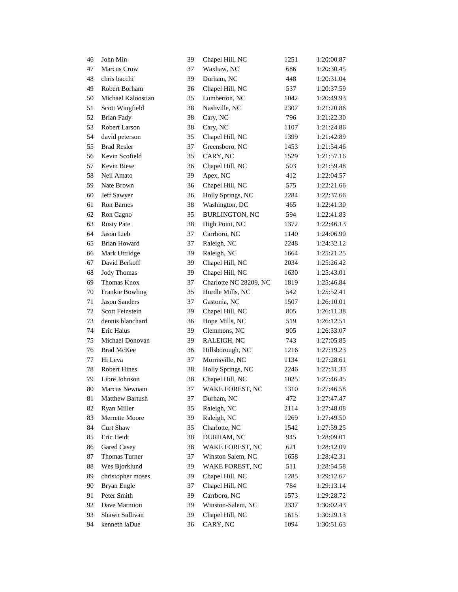| 46 | John Min               | 39 | Chapel Hill, NC        | 1251 | 1:20:00.87 |
|----|------------------------|----|------------------------|------|------------|
| 47 | <b>Marcus Crow</b>     | 37 | Waxhaw, NC             | 686  | 1:20:30.45 |
| 48 | chris bacchi           | 39 | Durham, NC             | 448  | 1:20:31.04 |
| 49 | Robert Borham          | 36 | Chapel Hill, NC        | 537  | 1:20:37.59 |
| 50 | Michael Kaloostian     | 35 | Lumberton, NC          | 1042 | 1:20:49.93 |
| 51 | Scott Wingfield        | 38 | Nashville, NC          | 2307 | 1:21:20.86 |
| 52 | <b>Brian Fady</b>      | 38 | Cary, NC               | 796  | 1:21:22.30 |
| 53 | Robert Larson          | 38 | Cary, NC               | 1107 | 1:21:24.86 |
| 54 | david peterson         | 35 | Chapel Hill, NC        | 1399 | 1:21:42.89 |
| 55 | <b>Brad Resler</b>     | 37 | Greensboro, NC         | 1453 | 1:21:54.46 |
| 56 | Kevin Scofield         | 35 | CARY, NC               | 1529 | 1:21:57.16 |
| 57 | <b>Kevin Biese</b>     | 36 | Chapel Hill, NC        | 503  | 1:21:59.48 |
| 58 | Neil Amato             | 39 | Apex, NC               | 412  | 1:22:04.57 |
| 59 | Nate Brown             | 36 | Chapel Hill, NC        | 575  | 1:22:21.66 |
| 60 | Jeff Sawyer            | 36 | Holly Springs, NC      | 2284 | 1:22:37.66 |
| 61 | <b>Ron Barnes</b>      | 38 | Washington, DC         | 465  | 1:22:41.30 |
| 62 | Ron Cagno              | 35 | <b>BURLINGTON, NC</b>  | 594  | 1:22:41.83 |
| 63 | <b>Rusty Pate</b>      | 38 | High Point, NC         | 1372 | 1:22:46.13 |
| 64 | Jason Lieb             | 37 | Carrboro, NC           | 1140 | 1:24:06.90 |
| 65 | <b>Brian Howard</b>    | 37 | Raleigh, NC            | 2248 | 1:24:32.12 |
| 66 | Mark Uttridge          | 39 | Raleigh, NC            | 1664 | 1:25:21.25 |
| 67 | David Berkoff          | 39 | Chapel Hill, NC        | 2034 | 1:25:26.42 |
| 68 | <b>Jody Thomas</b>     | 39 | Chapel Hill, NC        | 1630 | 1:25:43.01 |
| 69 | Thomas Knox            | 37 | Charlotte NC 28209, NC | 1819 | 1:25:46.84 |
| 70 | Frankie Bowling        | 35 | Hurdle Mills, NC       | 542  | 1:25:52.41 |
| 71 | Jason Sanders          | 37 | Gastonia, NC           | 1507 | 1:26:10.01 |
| 72 | <b>Scott Feinstein</b> | 39 | Chapel Hill, NC        | 805  | 1:26:11.38 |
| 73 | dennis blanchard       | 36 | Hope Mills, NC         | 519  | 1:26:12.51 |
| 74 | Eric Halus             | 39 | Clemmons, NC           | 905  | 1:26:33.07 |
| 75 | Michael Donovan        | 39 | RALEIGH, NC            | 743  | 1:27:05.85 |
| 76 | <b>Brad McKee</b>      | 36 | Hillsborough, NC       | 1216 | 1:27:19.23 |
| 77 | Hi Leva                | 37 | Morrisville, NC        | 1134 | 1:27:28.61 |
| 78 | <b>Robert Hines</b>    | 38 | Holly Springs, NC      | 2246 | 1:27:31.33 |
| 79 | Libre Johnson          | 38 | Chapel Hill, NC        | 1025 | 1:27:46.45 |
| 80 | Marcus Newnam          | 37 | WAKE FOREST, NC        | 1310 | 1:27:46.58 |
| 81 | Matthew Bartush        | 37 | Durham, NC             | 472  | 1:27:47.47 |
| 82 | Ryan Miller            | 35 | Raleigh, NC            | 2114 | 1:27:48.08 |
| 83 | Merrette Moore         | 39 | Raleigh, NC            | 1269 | 1:27:49.50 |
| 84 | Curt Shaw              | 35 | Charlotte, NC          | 1542 | 1:27:59.25 |
| 85 | Eric Heidt             | 38 | DURHAM, NC             | 945  | 1:28:09.01 |
| 86 | Gared Casey            | 38 | WAKE FOREST, NC        | 621  | 1:28:12.09 |
| 87 | Thomas Turner          | 37 | Winston Salem, NC      | 1658 | 1:28:42.31 |
| 88 | Wes Bjorklund          | 39 | WAKE FOREST, NC        | 511  | 1:28:54.58 |
| 89 | christopher moses      | 39 | Chapel Hill, NC        | 1285 | 1:29:12.67 |
| 90 | Bryan Engle            | 37 | Chapel Hill, NC        | 784  | 1:29:13.14 |
| 91 | Peter Smith            | 39 | Carrboro, NC           | 1573 | 1:29:28.72 |
| 92 | Dave Marmion           | 39 | Winston-Salem, NC      | 2337 | 1:30:02.43 |
| 93 | Shawn Sullivan         | 39 | Chapel Hill, NC        | 1615 | 1:30:29.13 |
| 94 | kenneth laDue          | 36 | CARY, NC               | 1094 | 1:30:51.63 |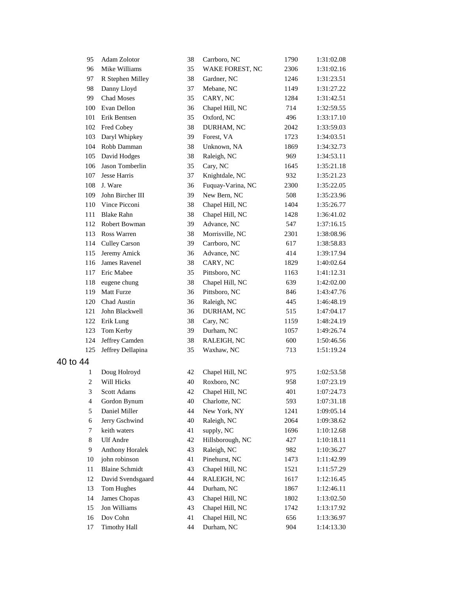| 95             | Adam Zolotor           | 38 | Carrboro, NC      | 1790 | 1:31:02.08 |
|----------------|------------------------|----|-------------------|------|------------|
| 96             | Mike Williams          | 35 | WAKE FOREST, NC   | 2306 | 1:31:02.16 |
| 97             | R Stephen Milley       | 38 | Gardner, NC       | 1246 | 1:31:23.51 |
| 98             | Danny Lloyd            | 37 | Mebane, NC        | 1149 | 1:31:27.22 |
| 99             | <b>Chad Moses</b>      | 35 | CARY, NC          | 1284 | 1:31:42.51 |
| 100            | Evan Dellon            | 36 | Chapel Hill, NC   | 714  | 1:32:59.55 |
| 101            | Erik Bentsen           | 35 | Oxford, NC        | 496  | 1:33:17.10 |
|                | 102 Fred Cobey         | 38 | DURHAM, NC        | 2042 | 1:33:59.03 |
| 103            | Daryl Whipkey          | 39 | Forest, VA        | 1723 | 1:34:03.51 |
| 104            | Robb Damman            | 38 | Unknown, NA       | 1869 | 1:34:32.73 |
| 105            | David Hodges           | 38 | Raleigh, NC       | 969  | 1:34:53.11 |
| 106            | Jason Tomberlin        | 35 | Cary, NC          | 1645 | 1:35:21.18 |
| 107            | Jesse Harris           | 37 | Knightdale, NC    | 932  | 1:35:21.23 |
| 108            | J. Ware                | 36 | Fuquay-Varina, NC | 2300 | 1:35:22.05 |
| 109            | John Bircher III       | 39 | New Bern, NC      | 508  | 1:35:23.96 |
| 110            | Vince Picconi          | 38 | Chapel Hill, NC   | 1404 | 1:35:26.77 |
| 111            | <b>Blake Rahn</b>      | 38 | Chapel Hill, NC   | 1428 | 1:36:41.02 |
| 112            | Robert Bowman          | 39 | Advance, NC       | 547  | 1:37:16.15 |
| 113            | Ross Warren            | 38 | Morrisville, NC   | 2301 | 1:38:08.96 |
| 114            | <b>Culley Carson</b>   | 39 | Carrboro, NC      | 617  | 1:38:58.83 |
| 115            | Jeremy Amick           | 36 | Advance, NC       | 414  | 1:39:17.94 |
| 116            | James Ravenel          | 38 | CARY, NC          | 1829 | 1:40:02.64 |
| 117            | Eric Mabee             | 35 | Pittsboro, NC     | 1163 | 1:41:12.31 |
| 118            | eugene chung           | 38 | Chapel Hill, NC   | 639  | 1:42:02.00 |
| 119            | Matt Furze             | 36 | Pittsboro, NC     | 846  | 1:43:47.76 |
| 120            | Chad Austin            | 36 | Raleigh, NC       | 445  | 1:46:48.19 |
| 121            | John Blackwell         | 36 | DURHAM, NC        | 515  | 1:47:04.17 |
| 122            | Erik Lung              | 38 | Cary, NC          | 1159 | 1:48:24.19 |
| 123            | Tom Kerby              | 39 | Durham, NC        | 1057 | 1:49:26.74 |
| 124            | Jeffrey Camden         | 38 | RALEIGH, NC       | 600  | 1:50:46.56 |
| 125            | Jeffrey Dellapina      | 35 | Waxhaw, NC        | 713  | 1:51:19.24 |
| 40 to 44       |                        |    |                   |      |            |
| 1              | Doug Holroyd           | 42 | Chapel Hill, NC   | 975  | 1:02:53.58 |
| 2              | Will Hicks             | 40 | Roxboro, NC       | 958  | 1:07:23.19 |
| 3              | Scott Adams            | 42 | Chapel Hill, NC   | 401  | 1:07:24.73 |
| $\overline{4}$ | Gordon Bynum           | 40 | Charlotte, NC     | 593  | 1:07:31.18 |
| 5              | Daniel Miller          | 44 | New York, NY      | 1241 | 1:09:05.14 |
| 6              | Jerry Gschwind         | 40 | Raleigh, NC       | 2064 | 1:09:38.62 |
| 7              | keith waters           | 41 | supply, NC        | 1696 | 1:10:12.68 |
| 8              | <b>Ulf</b> Andre       | 42 | Hillsborough, NC  | 427  | 1:10:18.11 |
| 9              | <b>Anthony Horalek</b> | 43 | Raleigh, NC       | 982  | 1:10:36.27 |
| 10             | john robinson          | 41 | Pinehurst, NC     | 1473 | 1:11:42.99 |
| 11             | <b>Blaine Schmidt</b>  | 43 | Chapel Hill, NC   | 1521 | 1:11:57.29 |
| 12             | David Svendsgaard      | 44 | RALEIGH, NC       | 1617 | 1:12:16.45 |
| 13             | Tom Hughes             | 44 | Durham, NC        | 1867 | 1:12:46.11 |
| 14             | James Chopas           | 43 | Chapel Hill, NC   | 1802 | 1:13:02.50 |
| 15             | Jon Williams           | 43 | Chapel Hill, NC   | 1742 | 1:13:17.92 |
| 16             | Dov Cohn               | 41 | Chapel Hill, NC   | 656  | 1:13:36.97 |
| 17             | <b>Timothy Hall</b>    | 44 | Durham, NC        | 904  | 1:14:13.30 |
|                |                        |    |                   |      |            |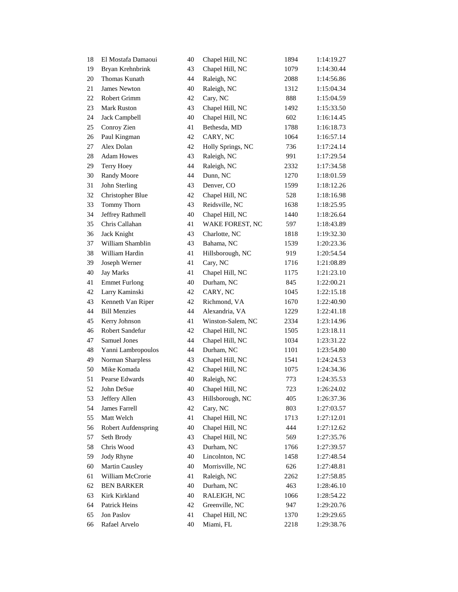| 18     | El Mostafa Damaoui   | 40 | Chapel Hill, NC   | 1894 | 1:14:19.27 |
|--------|----------------------|----|-------------------|------|------------|
| 19     | Bryan Krehnbrink     | 43 | Chapel Hill, NC   | 1079 | 1:14:30.44 |
| 20     | Thomas Kunath        | 44 | Raleigh, NC       | 2088 | 1:14:56.86 |
| 21     | <b>James Newton</b>  | 40 | Raleigh, NC       | 1312 | 1:15:04.34 |
| 22     | <b>Robert Grimm</b>  | 42 | Cary, NC          | 888  | 1:15:04.59 |
| 23     | <b>Mark Ruston</b>   | 43 | Chapel Hill, NC   | 1492 | 1:15:33.50 |
| 24     | Jack Campbell        | 40 | Chapel Hill, NC   | 602  | 1:16:14.45 |
| 25     | Conroy Zien          | 41 | Bethesda, MD      | 1788 | 1:16:18.73 |
| 26     | Paul Kingman         | 42 | CARY, NC          | 1064 | 1:16:57.14 |
| 27     | Alex Dolan           | 42 | Holly Springs, NC | 736  | 1:17:24.14 |
| 28     | <b>Adam Howes</b>    | 43 | Raleigh, NC       | 991  | 1:17:29.54 |
| 29     | Terry Hoey           | 44 | Raleigh, NC       | 2332 | 1:17:34.58 |
| 30     | Randy Moore          | 44 | Dunn, NC          | 1270 | 1:18:01.59 |
| 31     | John Sterling        | 43 | Denver, CO        | 1599 | 1:18:12.26 |
| 32     | Christopher Blue     | 42 | Chapel Hill, NC   | 528  | 1:18:16.98 |
| 33     | Tommy Thorn          | 43 | Reidsville, NC    | 1638 | 1:18:25.95 |
| 34     | Jeffrey Rathmell     | 40 | Chapel Hill, NC   | 1440 | 1:18:26.64 |
| 35     | Chris Callahan       | 41 | WAKE FOREST, NC   | 597  | 1:18:43.89 |
| 36     | Jack Knight          | 43 | Charlotte, NC     | 1818 | 1:19:32.30 |
| 37     | William Shamblin     | 43 | Bahama, NC        | 1539 | 1:20:23.36 |
| 38     | William Hardin       | 41 | Hillsborough, NC  | 919  | 1:20:54.54 |
| 39     | Joseph Werner        | 41 | Cary, NC          | 1716 | 1:21:08.89 |
| 40     | <b>Jay Marks</b>     | 41 | Chapel Hill, NC   | 1175 | 1:21:23.10 |
| 41     | <b>Emmet Furlong</b> | 40 | Durham, NC        | 845  | 1:22:00.21 |
| 42     | Larry Kaminski       | 42 | CARY, NC          | 1045 | 1:22:15.18 |
| 43     | Kenneth Van Riper    | 42 | Richmond, VA      | 1670 | 1:22:40.90 |
| 44     | <b>Bill Menzies</b>  | 44 | Alexandria, VA    | 1229 | 1:22:41.18 |
| 45     | Kerry Johnson        | 41 | Winston-Salem, NC | 2334 | 1:23:14.96 |
| 46     | Robert Sandefur      | 42 | Chapel Hill, NC   | 1505 | 1:23:18.11 |
| 47     | Samuel Jones         | 44 | Chapel Hill, NC   | 1034 | 1:23:31.22 |
| 48     | Yanni Lambropoulos   | 44 | Durham, NC        | 1101 | 1:23:54.80 |
| 49     | Norman Sharpless     | 43 | Chapel Hill, NC   | 1541 | 1:24:24.53 |
| 50     | Mike Komada          | 42 | Chapel Hill, NC   | 1075 | 1:24:34.36 |
| 51     | Pearse Edwards       | 40 | Raleigh, NC       | 773  | 1:24:35.53 |
| 52     | John DeSue           | 40 | Chapel Hill, NC   | 723  | 1:26:24.02 |
| 53     | Jeffery Allen        | 43 | Hillsborough, NC  | 405  | 1:26:37.36 |
| 54     | James Farrell        | 42 | Cary, NC          | 803  | 1:27:03.57 |
| 55     | Matt Welch           | 41 | Chapel Hill, NC   | 1713 | 1:27:12.01 |
| 56     | Robert Aufdenspring  | 40 | Chapel Hill, NC   | 444  | 1:27:12.62 |
| 57     | Seth Brody           | 43 | Chapel Hill, NC   | 569  | 1:27:35.76 |
| 58     | Chris Wood           | 43 | Durham, NC        | 1766 | 1:27:39.57 |
| 59     | Jody Rhyne           | 40 | Lincolnton, NC    | 1458 | 1:27:48.54 |
| 60     | Martin Causley       | 40 | Morrisville, NC   | 626  | 1:27:48.81 |
| 61     | William McCrorie     | 41 | Raleigh, NC       | 2262 | 1:27:58.85 |
| $62\,$ | <b>BEN BARKER</b>    | 40 | Durham, NC        | 463  | 1:28:46.10 |
| 63     | Kirk Kirkland        | 40 | RALEIGH, NC       | 1066 | 1:28:54.22 |
| 64     | Patrick Heins        | 42 | Greenville, NC    | 947  | 1:29:20.76 |
| 65     | Jon Paslov           | 41 | Chapel Hill, NC   | 1370 | 1:29:29.65 |
| 66     | Rafael Arvelo        | 40 | Miami, FL         | 2218 | 1:29:38.76 |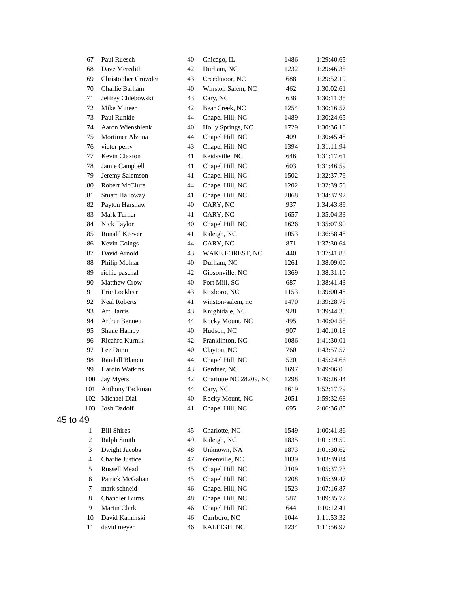|          | 67             | Paul Ruesch            | 40 | Chicago, IL            | 1486 | 1:29:40.65 |
|----------|----------------|------------------------|----|------------------------|------|------------|
|          | 68             | Dave Meredith          | 42 | Durham, NC             | 1232 | 1:29:46.35 |
|          | 69             | Christopher Crowder    | 43 | Creedmoor, NC          | 688  | 1:29:52.19 |
|          | 70             | Charlie Barham         | 40 | Winston Salem, NC      | 462  | 1:30:02.61 |
|          | 71             | Jeffrey Chlebowski     | 43 | Cary, NC               | 638  | 1:30:11.35 |
|          | 72             | Mike Mineer            | 42 | Bear Creek, NC         | 1254 | 1:30:16.57 |
|          | 73             | Paul Runkle            | 44 | Chapel Hill, NC        | 1489 | 1:30:24.65 |
|          | 74             | Aaron Wienshienk       | 40 | Holly Springs, NC      | 1729 | 1:30:36.10 |
|          | 75             | Mortimer Alzona        | 44 | Chapel Hill, NC        | 409  | 1:30:45.48 |
|          | 76             | victor perry           | 43 | Chapel Hill, NC        | 1394 | 1:31:11.94 |
|          | 77             | Kevin Claxton          | 41 | Reidsville, NC         | 646  | 1:31:17.61 |
|          | $78\,$         | Jamie Campbell         | 41 | Chapel Hill, NC        | 603  | 1:31:46.59 |
|          | 79             | Jeremy Salemson        | 41 | Chapel Hill, NC        | 1502 | 1:32:37.79 |
|          | 80             | Robert McClure         | 44 | Chapel Hill, NC        | 1202 | 1:32:39.56 |
|          | 81             | <b>Stuart Halloway</b> | 41 | Chapel Hill, NC        | 2068 | 1:34:37.92 |
|          | 82             | Payton Harshaw         | 40 | CARY, NC               | 937  | 1:34:43.89 |
|          | 83             | Mark Turner            | 41 | CARY, NC               | 1657 | 1:35:04.33 |
|          | 84             | Nick Taylor            | 40 | Chapel Hill, NC        | 1626 | 1:35:07.90 |
|          | 85             | Ronald Keever          | 41 | Raleigh, NC            | 1053 | 1:36:58.48 |
|          | 86             | Kevin Goings           | 44 | CARY, NC               | 871  | 1:37:30.64 |
|          | 87             | David Arnold           | 43 | WAKE FOREST, NC        | 440  | 1:37:41.83 |
|          | 88             | Philip Molnar          | 40 | Durham, NC             | 1261 | 1:38:09.00 |
|          | 89             | richie paschal         | 42 | Gibsonville, NC        | 1369 | 1:38:31.10 |
|          | 90             | Matthew Crow           | 40 | Fort Mill, SC          | 687  | 1:38:41.43 |
|          | 91             | Eric Locklear          | 43 | Roxboro, NC            | 1153 | 1:39:00.48 |
|          | 92             | <b>Neal Roberts</b>    | 41 | winston-salem, nc      | 1470 | 1:39:28.75 |
|          | 93             | <b>Art Harris</b>      | 43 | Knightdale, NC         | 928  | 1:39:44.35 |
|          | 94             | Arthur Bennett         | 44 | Rocky Mount, NC        | 495  | 1:40:04.55 |
|          | 95             | Shane Hamby            | 40 | Hudson, NC             | 907  | 1:40:10.18 |
|          | 96             | <b>Ricahrd Kurnik</b>  | 42 | Franklinton, NC        | 1086 | 1:41:30.01 |
|          | 97             | Lee Dunn               | 40 | Clayton, NC            | 760  | 1:43:57.57 |
|          | 98             | Randall Blanco         | 44 | Chapel Hill, NC        | 520  | 1:45:24.66 |
|          | 99             | Hardin Watkins         | 43 | Gardner, NC            | 1697 | 1:49:06.00 |
|          | 100            | Jay Myers              | 42 | Charlotte NC 28209, NC | 1298 | 1:49:26.44 |
|          | 101            | Anthony Tackman        | 44 | Cary, NC               | 1619 | 1:52:17.79 |
|          | 102            | Michael Dial           | 40 | Rocky Mount, NC        | 2051 | 1:59:32.68 |
|          | 103            | Josh Dadolf            | 41 | Chapel Hill, NC        | 695  | 2:06:36.85 |
| 45 to 49 |                |                        |    |                        |      |            |
|          | 1              | <b>Bill Shires</b>     | 45 | Charlotte, NC          | 1549 | 1:00:41.86 |
|          | $\overline{c}$ | Ralph Smith            | 49 | Raleigh, NC            | 1835 | 1:01:19.59 |
|          | 3              | Dwight Jacobs          | 48 | Unknown, NA            | 1873 | 1:01:30.62 |
|          | $\overline{4}$ | Charlie Justice        | 47 | Greenville, NC         | 1039 | 1:03:39.84 |
|          | 5              | Russell Mead           | 45 | Chapel Hill, NC        | 2109 | 1:05:37.73 |
|          | 6              | Patrick McGahan        | 45 | Chapel Hill, NC        | 1208 | 1:05:39.47 |
|          | $\tau$         | mark schneid           | 46 | Chapel Hill, NC        | 1523 | 1:07:16.87 |
|          | 8              | <b>Chandler Burns</b>  | 48 | Chapel Hill, NC        | 587  | 1:09:35.72 |
|          | 9              | Martin Clark           | 46 | Chapel Hill, NC        | 644  | 1:10:12.41 |
|          | 10             | David Kaminski         | 46 | Carrboro, NC           | 1044 | 1:11:53.32 |
|          | 11             | david meyer            | 46 | RALEIGH, NC            | 1234 | 1:11:56.97 |
|          |                |                        |    |                        |      |            |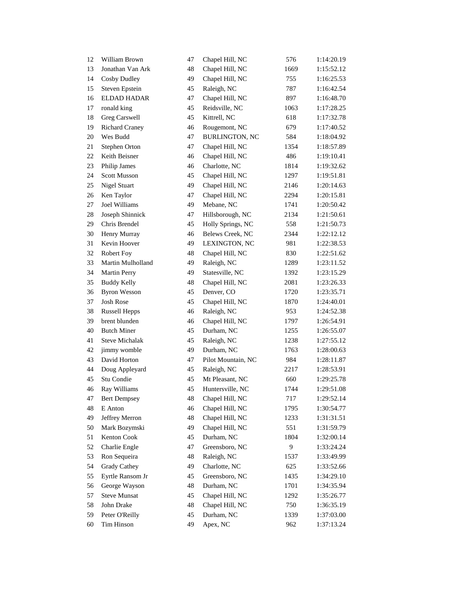| 12 | William Brown         | 47 | Chapel Hill, NC       | 576  | 1:14:20.19 |
|----|-----------------------|----|-----------------------|------|------------|
| 13 | Jonathan Van Ark      | 48 | Chapel Hill, NC       | 1669 | 1:15:52.12 |
| 14 | Cosby Dudley          | 49 | Chapel Hill, NC       | 755  | 1:16:25.53 |
| 15 | Steven Epstein        | 45 | Raleigh, NC           | 787  | 1:16:42.54 |
| 16 | ELDAD HADAR           | 47 | Chapel Hill, NC       | 897  | 1:16:48.70 |
| 17 | ronald king           | 45 | Reidsville, NC        | 1063 | 1:17:28.25 |
| 18 | Greg Carswell         | 45 | Kittrell, NC          | 618  | 1:17:32.78 |
| 19 | <b>Richard Craney</b> | 46 | Rougemont, NC         | 679  | 1:17:40.52 |
| 20 | Wes Budd              | 47 | <b>BURLINGTON, NC</b> | 584  | 1:18:04.92 |
| 21 | Stephen Orton         | 47 | Chapel Hill, NC       | 1354 | 1:18:57.89 |
| 22 | Keith Beisner         | 46 | Chapel Hill, NC       | 486  | 1:19:10.41 |
| 23 | Philip James          | 46 | Charlotte, NC         | 1814 | 1:19:32.62 |
| 24 | Scott Musson          | 45 | Chapel Hill, NC       | 1297 | 1:19:51.81 |
| 25 | Nigel Stuart          | 49 | Chapel Hill, NC       | 2146 | 1:20:14.63 |
| 26 | Ken Taylor            | 47 | Chapel Hill, NC       | 2294 | 1:20:15.81 |
| 27 | Joel Williams         | 49 | Mebane, NC            | 1741 | 1:20:50.42 |
| 28 | Joseph Shinnick       | 47 | Hillsborough, NC      | 2134 | 1:21:50.61 |
| 29 | Chris Brendel         | 45 | Holly Springs, NC     | 558  | 1:21:50.73 |
| 30 | Henry Murray          | 46 | Belews Creek, NC      | 2344 | 1:22:12.12 |
| 31 | Kevin Hoover          | 49 | LEXINGTON, NC         | 981  | 1:22:38.53 |
| 32 | Robert Foy            | 48 | Chapel Hill, NC       | 830  | 1:22:51.62 |
| 33 | Martin Mulholland     | 49 | Raleigh, NC           | 1289 | 1:23:11.52 |
| 34 | Martin Perry          | 49 | Statesville, NC       | 1392 | 1:23:15.29 |
| 35 | <b>Buddy Kelly</b>    | 48 | Chapel Hill, NC       | 2081 | 1:23:26.33 |
| 36 | <b>Byron Wesson</b>   | 45 | Denver, CO            | 1720 | 1:23:35.71 |
| 37 | Josh Rose             | 45 | Chapel Hill, NC       | 1870 | 1:24:40.01 |
| 38 | <b>Russell Hepps</b>  | 46 | Raleigh, NC           | 953  | 1:24:52.38 |
| 39 | brent blunden         | 46 | Chapel Hill, NC       | 1797 | 1:26:54.91 |
| 40 | <b>Butch Miner</b>    | 45 | Durham, NC            | 1255 | 1:26:55.07 |
| 41 | <b>Steve Michalak</b> | 45 | Raleigh, NC           | 1238 | 1:27:55.12 |
| 42 | jimmy womble          | 49 | Durham, NC            | 1763 | 1:28:00.63 |
| 43 | David Horton          | 47 | Pilot Mountain, NC    | 984  | 1:28:11.87 |
| 44 | Doug Appleyard        | 45 | Raleigh, NC           | 2217 | 1:28:53.91 |
| 45 | Stu Condie            | 45 | Mt Pleasant, NC       | 660  | 1:29:25.78 |
| 46 | Ray Williams          | 45 | Huntersville, NC      | 1744 | 1:29:51.08 |
| 47 | <b>Bert Dempsey</b>   | 48 | Chapel Hill, NC       | 717  | 1:29:52.14 |
| 48 | E Anton               | 46 | Chapel Hill, NC       | 1795 | 1:30:54.77 |
| 49 | Jeffrey Merron        | 48 | Chapel Hill, NC       | 1233 | 1:31:31.51 |
| 50 | Mark Bozymski         | 49 | Chapel Hill, NC       | 551  | 1:31:59.79 |
| 51 | Kenton Cook           | 45 | Durham, NC            | 1804 | 1:32:00.14 |
| 52 | Charlie Engle         | 47 | Greensboro, NC        | 9    | 1:33:24.24 |
| 53 | Ron Sequeira          | 48 | Raleigh, NC           | 1537 | 1:33:49.99 |
| 54 | <b>Grady Cathey</b>   | 49 | Charlotte, NC         | 625  | 1:33:52.66 |
| 55 | Eyrtle Ransom Jr      | 45 | Greensboro, NC        | 1435 | 1:34:29.10 |
| 56 | George Wayson         | 48 | Durham, NC            | 1701 | 1:34:35.94 |
| 57 | <b>Steve Munsat</b>   | 45 | Chapel Hill, NC       | 1292 | 1:35:26.77 |
| 58 | John Drake            | 48 | Chapel Hill, NC       | 750  | 1:36:35.19 |
| 59 | Peter O'Reilly        | 45 | Durham, NC            | 1339 | 1:37:03.00 |
| 60 | Tim Hinson            | 49 | Apex, NC              | 962  | 1:37:13.24 |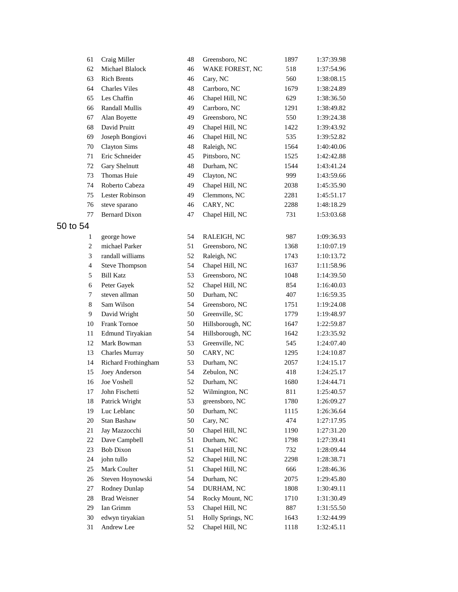| 61             | Craig Miller          | 48 | Greensboro, NC    | 1897 | 1:37:39.98 |
|----------------|-----------------------|----|-------------------|------|------------|
| 62             | Michael Blalock       | 46 | WAKE FOREST, NC   | 518  | 1:37:54.96 |
| 63             | <b>Rich Brents</b>    | 46 | Cary, NC          | 560  | 1:38:08.15 |
| 64             | <b>Charles Viles</b>  | 48 | Carrboro, NC      | 1679 | 1:38:24.89 |
| 65             | Les Chaffin           | 46 | Chapel Hill, NC   | 629  | 1:38:36.50 |
| 66             | <b>Randall Mullis</b> | 49 | Carrboro, NC      | 1291 | 1:38:49.82 |
| 67             | Alan Boyette          | 49 | Greensboro, NC    | 550  | 1:39:24.38 |
| 68             | David Pruitt          | 49 | Chapel Hill, NC   | 1422 | 1:39:43.92 |
| 69             | Joseph Bongiovi       | 46 | Chapel Hill, NC   | 535  | 1:39:52.82 |
| 70             | <b>Clayton Sims</b>   | 48 | Raleigh, NC       | 1564 | 1:40:40.06 |
| 71             | Eric Schneider        | 45 | Pittsboro, NC     | 1525 | 1:42:42.88 |
| 72             | Gary Shelnutt         | 48 | Durham, NC        | 1544 | 1:43:41.24 |
| 73             | Thomas Huie           | 49 | Clayton, NC       | 999  | 1:43:59.66 |
| 74             | Roberto Cabeza        | 49 | Chapel Hill, NC   | 2038 | 1:45:35.90 |
| 75             | Lester Robinson       | 49 | Clemmons, NC      | 2281 | 1:45:51.17 |
| 76             | steve sparano         | 46 | CARY, NC          | 2288 | 1:48:18.29 |
| 77             | <b>Bernard Dixon</b>  | 47 | Chapel Hill, NC   | 731  | 1:53:03.68 |
| 50 to 54       |                       |    |                   |      |            |
| 1              | george howe           | 54 | RALEIGH, NC       | 987  | 1:09:36.93 |
| $\overline{c}$ | michael Parker        | 51 | Greensboro, NC    | 1368 | 1:10:07.19 |
| 3              | randall williams      | 52 | Raleigh, NC       | 1743 | 1:10:13.72 |
| $\overline{4}$ | <b>Steve Thompson</b> | 54 | Chapel Hill, NC   | 1637 | 1:11:58.96 |
| 5              | <b>Bill Katz</b>      | 53 | Greensboro, NC    | 1048 | 1:14:39.50 |
| 6              | Peter Gayek           | 52 | Chapel Hill, NC   | 854  | 1:16:40.03 |
| 7              | steven allman         | 50 | Durham, NC        | 407  | 1:16:59.35 |
| $\,8\,$        | Sam Wilson            | 54 | Greensboro, NC    | 1751 | 1:19:24.08 |
| $\overline{9}$ | David Wright          | 50 | Greenville, SC    | 1779 | 1:19:48.97 |
| 10             | Frank Tornoe          | 50 | Hillsborough, NC  | 1647 | 1:22:59.87 |
| 11             | Edmund Tiryakian      | 54 | Hillsborough, NC  | 1642 | 1:23:35.92 |
| 12             | Mark Bowman           | 53 | Greenville, NC    | 545  | 1:24:07.40 |
| 13             | <b>Charles Murray</b> | 50 | CARY, NC          | 1295 | 1:24:10.87 |
| 14             | Richard Frothingham   | 53 | Durham, NC        | 2057 | 1:24:15.17 |
| 15             | Joey Anderson         | 54 | Zebulon, NC       | 418  | 1:24:25.17 |
| 16             | Joe Voshell           | 52 | Durham, NC        | 1680 | 1:24:44.71 |
| 17             | John Fischetti        | 52 | Wilmington, NC    | 811  | 1:25:40.57 |
| 18             | Patrick Wright        | 53 | greensboro, NC    | 1780 | 1:26:09.27 |
| 19             | Luc Leblanc           | 50 | Durham, NC        | 1115 | 1:26:36.64 |
| 20             | Stan Bashaw           | 50 | Cary, NC          | 474  | 1:27:17.95 |
| 21             | Jay Mazzocchi         | 50 | Chapel Hill, NC   | 1190 | 1:27:31.20 |
| 22             | Dave Campbell         | 51 | Durham, NC        | 1798 | 1:27:39.41 |
| 23             | <b>Bob Dixon</b>      | 51 | Chapel Hill, NC   | 732  | 1:28:09.44 |
| 24             | john tullo            | 52 | Chapel Hill, NC   | 2298 | 1:28:38.71 |
| 25             | Mark Coulter          | 51 | Chapel Hill, NC   | 666  | 1:28:46.36 |
| 26             | Steven Hoynowski      | 54 | Durham, NC        | 2075 | 1:29:45.80 |
| 27             | Rodney Dunlap         | 54 | DURHAM, NC        | 1808 | 1:30:49.11 |
| 28             | <b>Brad Weisner</b>   | 54 | Rocky Mount, NC   | 1710 | 1:31:30.49 |
| 29             | Ian Grimm             | 53 | Chapel Hill, NC   | 887  | 1:31:55.50 |
| 30             | edwyn tiryakian       | 51 | Holly Springs, NC | 1643 | 1:32:44.99 |
| 31             | Andrew Lee            | 52 | Chapel Hill, NC   | 1118 | 1:32:45.11 |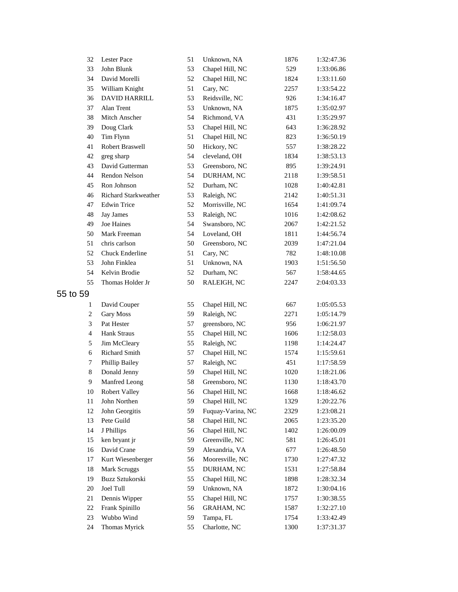| 32             | Lester Pace            | 51 | Unknown, NA       | 1876 | 1:32:47.36 |
|----------------|------------------------|----|-------------------|------|------------|
| 33             | John Blunk             | 53 | Chapel Hill, NC   | 529  | 1:33:06.86 |
| 34             | David Morelli          | 52 | Chapel Hill, NC   | 1824 | 1:33:11.60 |
| 35             | William Knight         | 51 | Cary, NC          | 2257 | 1:33:54.22 |
| 36             | <b>DAVID HARRILL</b>   | 53 | Reidsville, NC    | 926  | 1:34:16.47 |
| 37             | Alan Trent             | 53 | Unknown, NA       | 1875 | 1:35:02.97 |
| 38             | Mitch Anscher          | 54 | Richmond, VA      | 431  | 1:35:29.97 |
| 39             | Doug Clark             | 53 | Chapel Hill, NC   | 643  | 1:36:28.92 |
| 40             | Tim Flynn              | 51 | Chapel Hill, NC   | 823  | 1:36:50.19 |
| 41             | Robert Braswell        | 50 | Hickory, NC       | 557  | 1:38:28.22 |
| 42             | greg sharp             | 54 | cleveland, OH     | 1834 | 1:38:53.13 |
| 43             | David Gutterman        | 53 | Greensboro, NC    | 895  | 1:39:24.91 |
| 44             | Rendon Nelson          | 54 | DURHAM, NC        | 2118 | 1:39:58.51 |
| 45             | Ron Johnson            | 52 | Durham, NC        | 1028 | 1:40:42.81 |
| 46             | Richard Starkweather   | 53 | Raleigh, NC       | 2142 | 1:40:51.31 |
| 47             | <b>Edwin Trice</b>     | 52 | Morrisville, NC   | 1654 | 1:41:09.74 |
| 48             | <b>Jay James</b>       | 53 | Raleigh, NC       | 1016 | 1:42:08.62 |
| 49             | Joe Haines             | 54 | Swansboro, NC     | 2067 | 1:42:21.52 |
| 50             | Mark Freeman           | 54 | Loveland, OH      | 1811 | 1:44:56.74 |
| 51             | chris carlson          | 50 | Greensboro, NC    | 2039 | 1:47:21.04 |
| 52             | <b>Chuck Enderline</b> | 51 | Cary, NC          | 782  | 1:48:10.08 |
| 53             | John Finklea           | 51 | Unknown, NA       | 1903 | 1:51:56.50 |
| 54             | Kelvin Brodie          | 52 | Durham, NC        | 567  | 1:58:44.65 |
| 55             | Thomas Holder Jr       | 50 | RALEIGH, NC       | 2247 | 2:04:03.33 |
| 59             |                        |    |                   |      |            |
| 1              | David Couper           | 55 | Chapel Hill, NC   | 667  | 1:05:05.53 |
| $\overline{c}$ | Gary Moss              | 59 | Raleigh, NC       | 2271 | 1:05:14.79 |
| 3              | Pat Hester             | 57 | greensboro, NC    | 956  | 1:06:21.97 |
| $\overline{4}$ | Hank Straus            | 55 | Chapel Hill, NC   | 1606 | 1:12:58.03 |
| 5              | Jim McCleary           | 55 | Raleigh, NC       | 1198 | 1:14:24.47 |
| 6              | <b>Richard Smith</b>   | 57 | Chapel Hill, NC   | 1574 | 1:15:59.61 |
| 7              | Phillip Bailey         | 57 | Raleigh, NC       | 451  | 1:17:58.59 |
| 8              | Donald Jenny           | 59 | Chapel Hill, NC   | 1020 | 1:18:21.06 |
| 9              | Manfred Leong          | 58 | Greensboro, NC    | 1130 | 1:18:43.70 |
| 10             | Robert Valley          | 56 | Chapel Hill, NC   | 1668 | 1:18:46.62 |
| 11             | John Northen           | 59 | Chapel Hill, NC   | 1329 | 1:20:22.76 |
| 12             | John Georgitis         | 59 | Fuquay-Varina, NC | 2329 | 1:23:08.21 |
| 13             | Pete Guild             | 58 | Chapel Hill, NC   | 2065 | 1:23:35.20 |
| 14             | J Phillips             | 56 | Chapel Hill, NC   | 1402 | 1:26:00.09 |
| 15             | ken bryant jr          | 59 | Greenville, NC    | 581  | 1:26:45.01 |
| 16             | David Crane            | 59 | Alexandria, VA    | 677  | 1:26:48.50 |
| 17             | Kurt Wiesenberger      | 56 | Mooresville, NC   | 1730 | 1:27:47.32 |
| 18             | Mark Scruggs           | 55 | DURHAM, NC        | 1531 | 1:27:58.84 |
| 19             | Buzz Sztukorski        | 55 | Chapel Hill, NC   | 1898 | 1:28:32.34 |
| $20\,$         | Joel Tull              | 59 | Unknown, NA       | 1872 | 1:30:04.16 |
| 21             | Dennis Wipper          | 55 | Chapel Hill, NC   | 1757 | 1:30:38.55 |
| 22             | Frank Spinillo         | 56 | <b>GRAHAM, NC</b> | 1587 | 1:32:27.10 |
| 23             | Wubbo Wind             | 59 | Tampa, FL         | 1754 | 1:33:42.49 |
| 24             | Thomas Myrick          | 55 | Charlotte, NC     | 1300 | 1:37:31.37 |
|                |                        |    |                   |      |            |

to